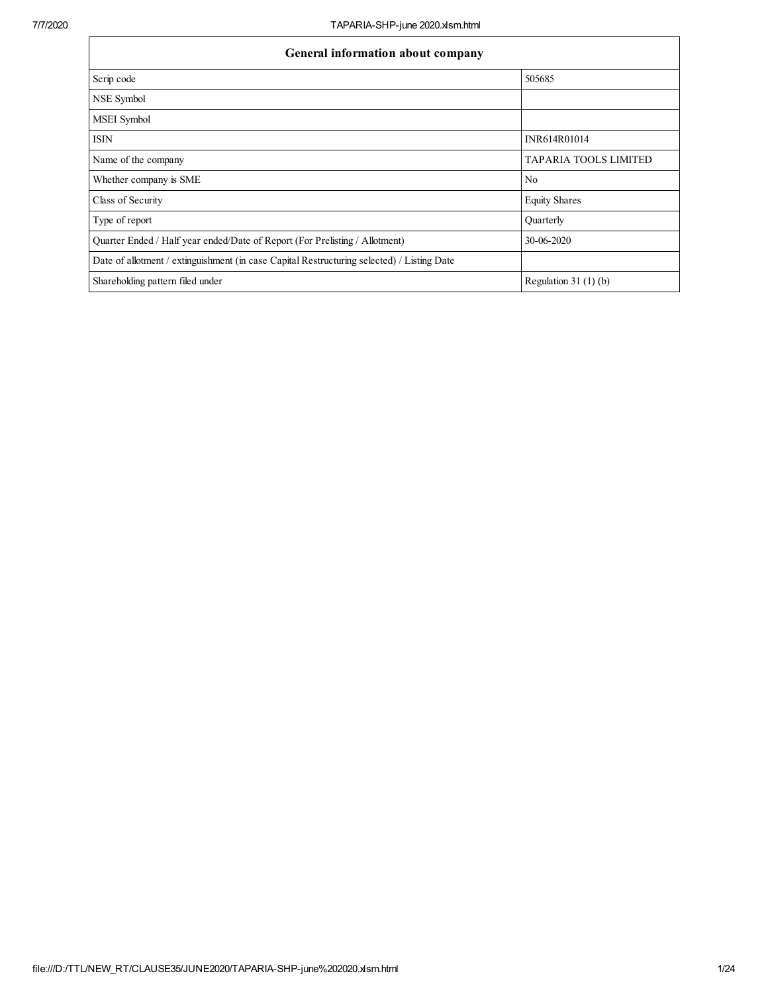| General information about company                                                          |                              |  |  |  |  |  |  |  |
|--------------------------------------------------------------------------------------------|------------------------------|--|--|--|--|--|--|--|
| Scrip code                                                                                 | 505685                       |  |  |  |  |  |  |  |
| NSE Symbol                                                                                 |                              |  |  |  |  |  |  |  |
| MSEI Symbol                                                                                |                              |  |  |  |  |  |  |  |
| <b>ISIN</b>                                                                                | INR614R01014                 |  |  |  |  |  |  |  |
| Name of the company                                                                        | <b>TAPARIA TOOLS LIMITED</b> |  |  |  |  |  |  |  |
| Whether company is SME                                                                     | N <sub>0</sub>               |  |  |  |  |  |  |  |
| Class of Security                                                                          | <b>Equity Shares</b>         |  |  |  |  |  |  |  |
| Type of report                                                                             | Quarterly                    |  |  |  |  |  |  |  |
| Quarter Ended / Half year ended/Date of Report (For Prelisting / Allotment)                | 30-06-2020                   |  |  |  |  |  |  |  |
| Date of allotment / extinguishment (in case Capital Restructuring selected) / Listing Date |                              |  |  |  |  |  |  |  |
| Shareholding pattern filed under                                                           | Regulation $31(1)(b)$        |  |  |  |  |  |  |  |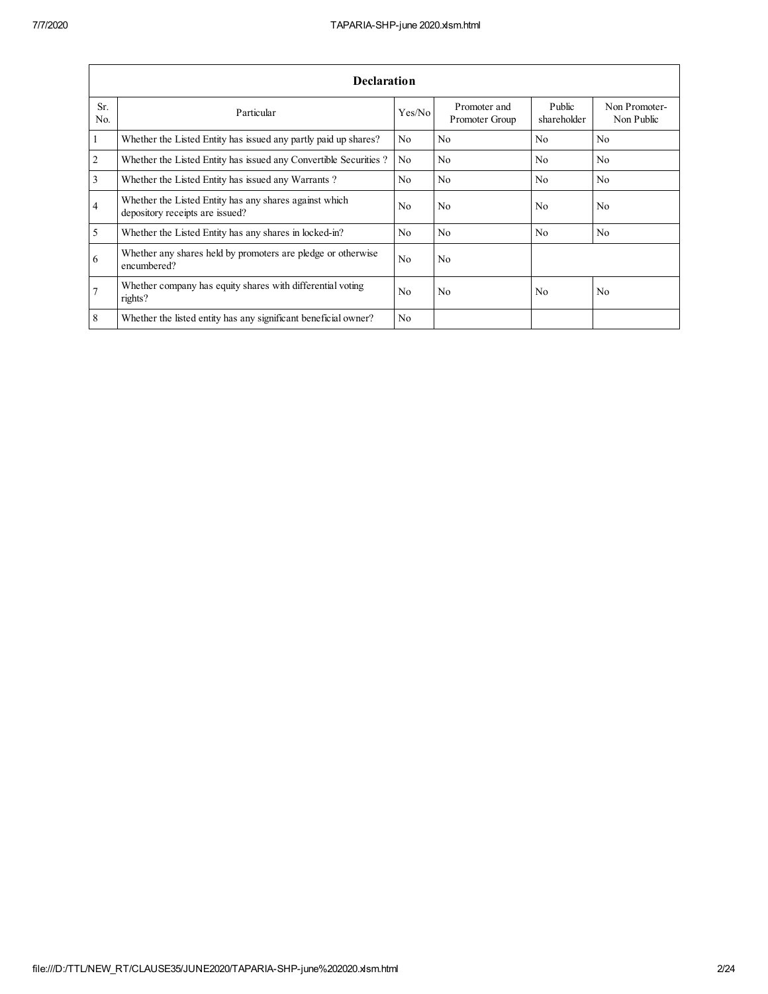|                       | <b>Declaration</b>                                                                        |                |                                |                       |                             |  |  |  |  |  |  |  |
|-----------------------|-------------------------------------------------------------------------------------------|----------------|--------------------------------|-----------------------|-----------------------------|--|--|--|--|--|--|--|
| Sr.<br>N <sub>0</sub> | Particular                                                                                | Yes/No         | Promoter and<br>Promoter Group | Public<br>shareholder | Non Promoter-<br>Non Public |  |  |  |  |  |  |  |
| 1                     | Whether the Listed Entity has issued any partly paid up shares?                           | No.            | N <sub>0</sub>                 | N <sub>0</sub>        | N <sub>0</sub>              |  |  |  |  |  |  |  |
| $\overline{2}$        | Whether the Listed Entity has issued any Convertible Securities?                          | N <sub>0</sub> | N <sub>0</sub>                 | N <sub>0</sub>        | N <sub>0</sub>              |  |  |  |  |  |  |  |
| 3                     | Whether the Listed Entity has issued any Warrants?                                        | No.            | N <sub>0</sub>                 | No.                   | N <sub>0</sub>              |  |  |  |  |  |  |  |
| $\overline{4}$        | Whether the Listed Entity has any shares against which<br>depository receipts are issued? | No.            | N <sub>0</sub>                 | N <sub>0</sub>        | N <sub>0</sub>              |  |  |  |  |  |  |  |
| 5                     | Whether the Listed Entity has any shares in locked-in?                                    | No.            | N <sub>0</sub>                 | N <sub>0</sub>        | N <sub>0</sub>              |  |  |  |  |  |  |  |
| 6                     | Whether any shares held by promoters are pledge or otherwise<br>encumbered?               | No.            | N <sub>0</sub>                 |                       |                             |  |  |  |  |  |  |  |
| 7                     | Whether company has equity shares with differential voting<br>rights?                     | N <sub>0</sub> | No                             | N <sub>0</sub>        | N <sub>0</sub>              |  |  |  |  |  |  |  |
| 8                     | Whether the listed entity has any significant beneficial owner?                           | N <sub>0</sub> |                                |                       |                             |  |  |  |  |  |  |  |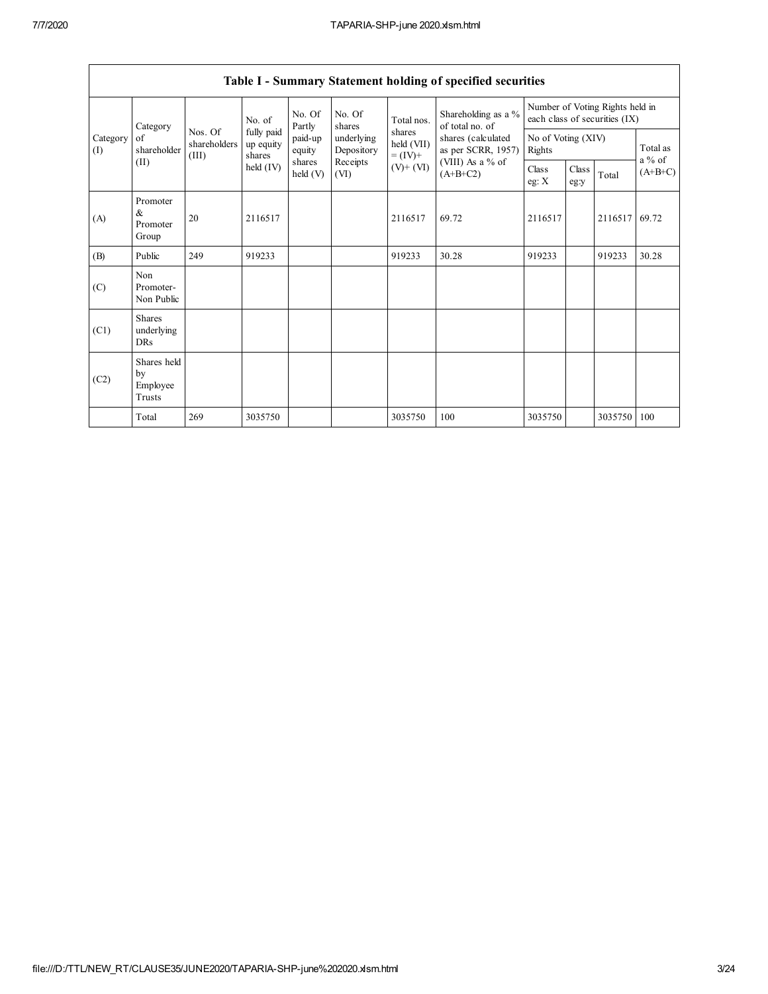|                 |                                           |                                  |                                                            |                             |                          |                                    | Table I - Summary Statement holding of specified securities                                                          |                                                                  |               |         |                      |
|-----------------|-------------------------------------------|----------------------------------|------------------------------------------------------------|-----------------------------|--------------------------|------------------------------------|----------------------------------------------------------------------------------------------------------------------|------------------------------------------------------------------|---------------|---------|----------------------|
|                 | Category<br>of<br>shareholder<br>(II)     | Nos. Of<br>shareholders<br>(III) | No. of<br>fully paid<br>up equity<br>shares<br>held $(IV)$ | No. Of<br>Partly            | No. Of<br>shares         | Total nos.                         | Shareholding as a %<br>of total no. of<br>shares (calculated<br>as per SCRR, 1957)<br>(VIII) As a % of<br>$(A+B+C2)$ | Number of Voting Rights held in<br>each class of securities (IX) |               |         |                      |
| Category<br>(I) |                                           |                                  |                                                            | paid-up<br>equity           | underlying<br>Depository | shares<br>held (VII)<br>$= (IV) +$ |                                                                                                                      | No of Voting (XIV)<br>Rights                                     |               |         | Total as<br>$a\%$ of |
|                 |                                           |                                  |                                                            | shares<br>$\text{held}$ (V) | Receipts<br>(VI)         | $(V)$ + $(VI)$                     |                                                                                                                      | Class<br>eg: $X$                                                 | Class<br>eg:y | Total   | $(A+B+C)$            |
| (A)             | Promoter<br>&<br>Promoter<br>Group        | 20                               | 2116517                                                    |                             |                          | 2116517                            | 69.72                                                                                                                | 2116517                                                          |               | 2116517 | 69.72                |
| (B)             | Public                                    | 249                              | 919233                                                     |                             |                          | 919233                             | 30.28                                                                                                                | 919233                                                           |               | 919233  | 30.28                |
| (C)             | Non<br>Promoter-<br>Non Public            |                                  |                                                            |                             |                          |                                    |                                                                                                                      |                                                                  |               |         |                      |
| (C1)            | <b>Shares</b><br>underlying<br><b>DRs</b> |                                  |                                                            |                             |                          |                                    |                                                                                                                      |                                                                  |               |         |                      |
| (C2)            | Shares held<br>by<br>Employee<br>Trusts   |                                  |                                                            |                             |                          |                                    |                                                                                                                      |                                                                  |               |         |                      |
|                 | Total                                     | 269                              | 3035750                                                    |                             |                          | 3035750                            | 100                                                                                                                  | 3035750                                                          |               | 3035750 | 100                  |

 $\overline{\Gamma}$ 

┑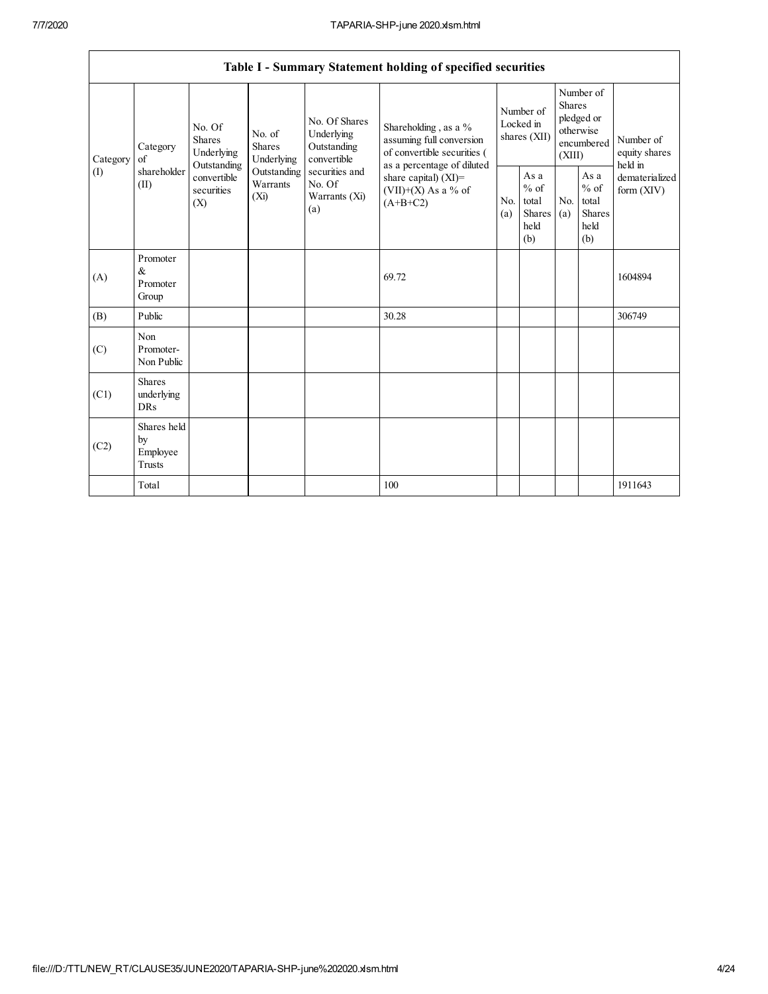$\overline{\phantom{a}}$ 

|                 |                                           |                                                 |                                    |                                                           | Table I - Summary Statement holding of specified securities                                  |                                        |                                                          |                                                                               |                                                         |                                       |
|-----------------|-------------------------------------------|-------------------------------------------------|------------------------------------|-----------------------------------------------------------|----------------------------------------------------------------------------------------------|----------------------------------------|----------------------------------------------------------|-------------------------------------------------------------------------------|---------------------------------------------------------|---------------------------------------|
| Category<br>(1) | Category<br>of<br>shareholder<br>(II)     | No. Of<br><b>Shares</b><br>Underlying           |                                    | No. Of Shares<br>Underlying<br>Outstanding<br>convertible | Shareholding, as a %<br>assuming full conversion<br>of convertible securities (              | Number of<br>Locked in<br>shares (XII) |                                                          | Number of<br><b>Shares</b><br>pledged or<br>otherwise<br>encumbered<br>(XIII) |                                                         | Number of<br>equity shares<br>held in |
|                 |                                           | Outstanding<br>convertible<br>securities<br>(X) | Outstanding<br>Warrants<br>$(X_i)$ | securities and<br>No. Of<br>Warrants (Xi)<br>(a)          | as a percentage of diluted<br>share capital) $(XI)$ =<br>$(VII)+(X)$ As a % of<br>$(A+B+C2)$ | N <sub>0</sub><br>(a)                  | As a<br>$\%$ of<br>total<br><b>Shares</b><br>held<br>(b) | N <sub>0</sub><br>(a)                                                         | As a<br>$%$ of<br>total<br><b>Shares</b><br>held<br>(b) | dematerialized<br>form $(XIV)$        |
| (A)             | Promoter<br>&<br>Promoter<br>Group        |                                                 |                                    |                                                           | 69.72                                                                                        |                                        |                                                          |                                                                               |                                                         | 1604894                               |
| (B)             | Public                                    |                                                 |                                    |                                                           | 30.28                                                                                        |                                        |                                                          |                                                                               |                                                         | 306749                                |
| (C)             | Non<br>Promoter-<br>Non Public            |                                                 |                                    |                                                           |                                                                                              |                                        |                                                          |                                                                               |                                                         |                                       |
| (C1)            | <b>Shares</b><br>underlying<br><b>DRs</b> |                                                 |                                    |                                                           |                                                                                              |                                        |                                                          |                                                                               |                                                         |                                       |
| (C2)            | Shares held<br>by<br>Employee<br>Trusts   |                                                 |                                    |                                                           |                                                                                              |                                        |                                                          |                                                                               |                                                         |                                       |
|                 | Total                                     |                                                 |                                    |                                                           | 100                                                                                          |                                        |                                                          |                                                                               |                                                         | 1911643                               |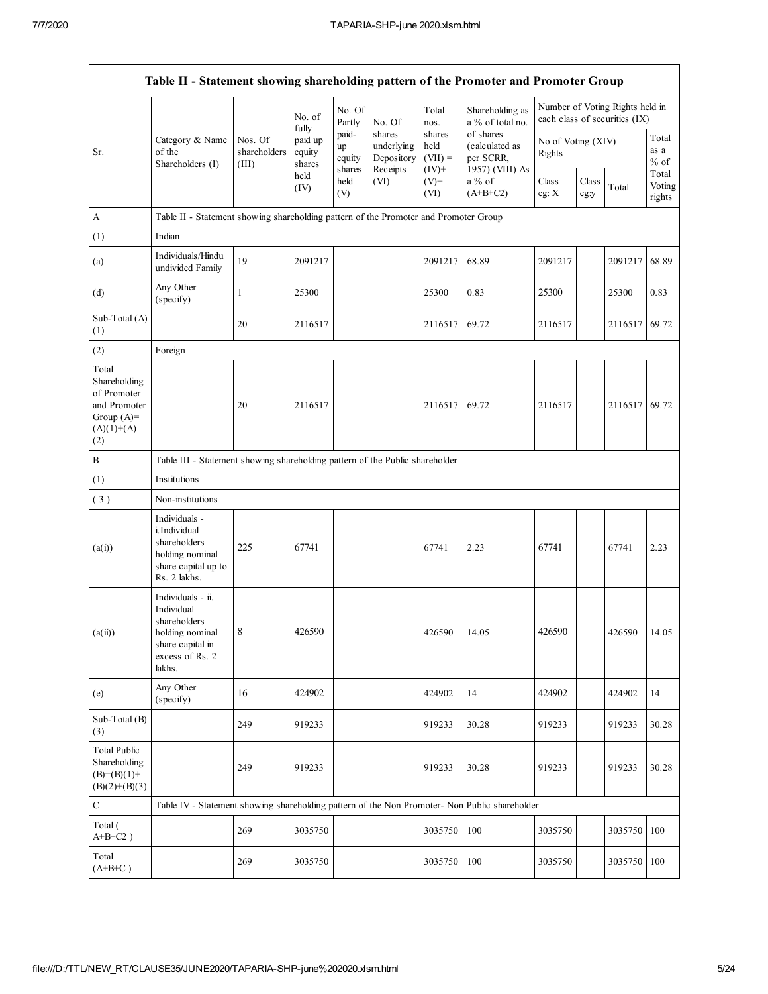$\mathbf{r}$ 

|                                                                                             | Table II - Statement showing shareholding pattern of the Promoter and Promoter Group                                |                                  |                                      |                                 |                                                |                                        |                                                             |                              |               |                                                                  |                                   |
|---------------------------------------------------------------------------------------------|---------------------------------------------------------------------------------------------------------------------|----------------------------------|--------------------------------------|---------------------------------|------------------------------------------------|----------------------------------------|-------------------------------------------------------------|------------------------------|---------------|------------------------------------------------------------------|-----------------------------------|
|                                                                                             |                                                                                                                     |                                  | No. of                               | No. Of<br>Partly                | No. Of                                         | Total<br>nos.                          | Shareholding as<br>a % of total no.                         |                              |               | Number of Voting Rights held in<br>each class of securities (IX) |                                   |
| Sr.                                                                                         | Category & Name<br>of the<br>Shareholders (I)                                                                       | Nos. Of<br>shareholders<br>(III) | fully<br>paid up<br>equity<br>shares | paid-<br>up<br>equity<br>shares | shares<br>underlying<br>Depository<br>Receipts | shares<br>held<br>$(VII) =$<br>$(IV)+$ | of shares<br>(calculated as<br>per SCRR,<br>1957) (VIII) As | No of Voting (XIV)<br>Rights |               |                                                                  | Total<br>as a<br>$\%$ of<br>Total |
|                                                                                             |                                                                                                                     |                                  | held<br>(IV)                         | held<br>(V)                     | (VI)                                           | $(V)+$<br>(VI)                         | $a\%$ of<br>$(A+B+C2)$                                      | Class<br>eg: $X$             | Class<br>eg:y | Total                                                            | Voting<br>rights                  |
| $\boldsymbol{A}$                                                                            | Table II - Statement showing shareholding pattern of the Promoter and Promoter Group                                |                                  |                                      |                                 |                                                |                                        |                                                             |                              |               |                                                                  |                                   |
| (1)                                                                                         | Indian                                                                                                              |                                  |                                      |                                 |                                                |                                        |                                                             |                              |               |                                                                  |                                   |
| (a)                                                                                         | Individuals/Hindu<br>undivided Family                                                                               | 19                               | 2091217                              |                                 |                                                | 2091217                                | 68.89                                                       | 2091217                      |               | 2091217                                                          | 68.89                             |
| (d)                                                                                         | Any Other<br>(specify)                                                                                              | 1                                | 25300                                |                                 |                                                | 25300                                  | 0.83                                                        | 25300                        |               | 25300                                                            | 0.83                              |
| Sub-Total (A)<br>(1)                                                                        |                                                                                                                     | 20                               | 2116517                              |                                 |                                                | 2116517                                | 69.72                                                       | 2116517                      |               | 2116517                                                          | 69.72                             |
| (2)                                                                                         | Foreign                                                                                                             |                                  |                                      |                                 |                                                |                                        |                                                             |                              |               |                                                                  |                                   |
| Total<br>Shareholding<br>of Promoter<br>and Promoter<br>Group $(A)=$<br>$(A)(1)+(A)$<br>(2) |                                                                                                                     | 20                               | 2116517                              |                                 |                                                | 2116517                                | 69.72                                                       | 2116517                      |               | 2116517                                                          | 69.72                             |
| $\, {\bf B}$                                                                                | Table III - Statement showing shareholding pattern of the Public shareholder                                        |                                  |                                      |                                 |                                                |                                        |                                                             |                              |               |                                                                  |                                   |
| (1)                                                                                         | Institutions                                                                                                        |                                  |                                      |                                 |                                                |                                        |                                                             |                              |               |                                                                  |                                   |
| (3)                                                                                         | Non-institutions                                                                                                    |                                  |                                      |                                 |                                                |                                        |                                                             |                              |               |                                                                  |                                   |
| (a(i))                                                                                      | Individuals -<br>i.Individual<br>shareholders<br>holding nominal<br>share capital up to<br>Rs. 2 lakhs.             | 225                              | 67741                                |                                 |                                                | 67741                                  | 2.23                                                        | 67741                        |               | 67741                                                            | 2.23                              |
| (a(ii))                                                                                     | Individuals - ii.<br>Individual<br>shareholders<br>holding nominal<br>share capital in<br>excess of Rs. 2<br>lakhs. | 8                                | 426590                               |                                 |                                                | 426590                                 | 14.05                                                       | 426590                       |               | 426590                                                           | 14.05                             |
| (e)                                                                                         | Any Other<br>(specify)                                                                                              | 16                               | 424902                               |                                 |                                                | 424902                                 | 14                                                          | 424902                       |               | 424902                                                           | 14                                |
| Sub-Total (B)<br>(3)                                                                        |                                                                                                                     | 249                              | 919233                               |                                 |                                                | 919233                                 | 30.28                                                       | 919233                       |               | 919233                                                           | 30.28                             |
| <b>Total Public</b><br>Shareholding<br>$(B)=(B)(1)+$<br>$(B)(2)+(B)(3)$                     |                                                                                                                     | 249                              | 919233                               |                                 |                                                | 919233                                 | 30.28                                                       | 919233                       |               | 919233                                                           | 30.28                             |
| $\mathbf C$                                                                                 | Table IV - Statement showing shareholding pattern of the Non Promoter- Non Public shareholder                       |                                  |                                      |                                 |                                                |                                        |                                                             |                              |               |                                                                  |                                   |
| Total (<br>$A+B+C2$ )                                                                       |                                                                                                                     | 269                              | 3035750                              |                                 |                                                | 3035750                                | 100                                                         | 3035750                      |               | 3035750                                                          | 100                               |
| Total<br>$(A+B+C)$                                                                          |                                                                                                                     | 269                              | 3035750                              |                                 |                                                | 3035750                                | 100                                                         | 3035750                      |               | 3035750                                                          | 100                               |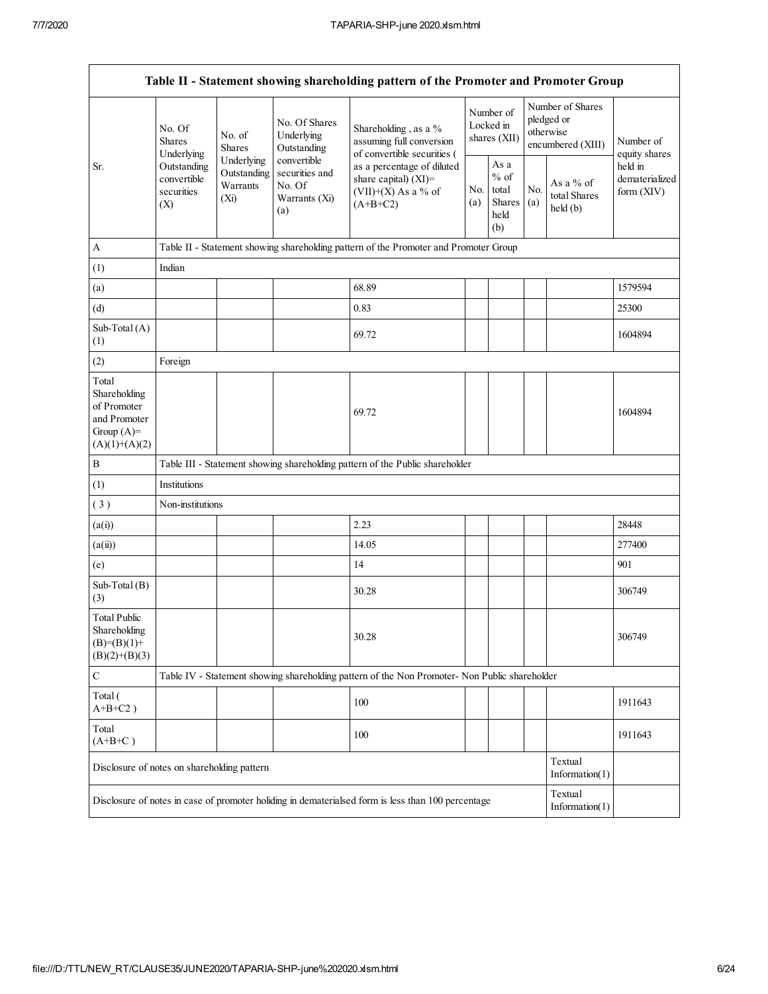|                                                                                          |                                                 |                                               |                                                                 | Table II - Statement showing shareholding pattern of the Promoter and Promoter Group                    |                                        |                                                  |            |                                                                  |                                           |  |
|------------------------------------------------------------------------------------------|-------------------------------------------------|-----------------------------------------------|-----------------------------------------------------------------|---------------------------------------------------------------------------------------------------------|----------------------------------------|--------------------------------------------------|------------|------------------------------------------------------------------|-------------------------------------------|--|
|                                                                                          | No. Of<br><b>Shares</b><br>Underlying           | No. of<br><b>Shares</b>                       | No. Of Shares<br>Underlying<br>Outstanding                      | Shareholding, as a %<br>assuming full conversion<br>of convertible securities (                         | Number of<br>Locked in<br>shares (XII) |                                                  |            | Number of Shares<br>pledged or<br>otherwise<br>encumbered (XIII) | Number of<br>equity shares                |  |
| Sr.                                                                                      | Outstanding<br>convertible<br>securities<br>(X) | Underlying<br>Outstanding<br>Warrants<br>(Xi) | convertible<br>securities and<br>No. Of<br>Warrants (Xi)<br>(a) | as a percentage of diluted<br>share capital) (XI)=<br>No.<br>$(VII)+(X)$ As a % of<br>(a)<br>$(A+B+C2)$ |                                        | As a<br>$%$ of<br>total<br>Shares<br>held<br>(b) | No.<br>(a) | As a $%$ of<br>total Shares<br>$\text{held}(\text{b})$           | held in<br>dematerialized<br>form $(XIV)$ |  |
| $\mathbf{A}$                                                                             |                                                 |                                               |                                                                 | Table II - Statement showing shareholding pattern of the Promoter and Promoter Group                    |                                        |                                                  |            |                                                                  |                                           |  |
| (1)                                                                                      | Indian                                          |                                               |                                                                 |                                                                                                         |                                        |                                                  |            |                                                                  |                                           |  |
| (a)                                                                                      |                                                 |                                               |                                                                 | 68.89                                                                                                   |                                        |                                                  |            |                                                                  | 1579594                                   |  |
| (d)                                                                                      |                                                 |                                               |                                                                 | 0.83                                                                                                    |                                        |                                                  |            |                                                                  | 25300                                     |  |
| Sub-Total (A)<br>(1)                                                                     |                                                 |                                               |                                                                 | 69.72                                                                                                   |                                        |                                                  |            |                                                                  | 1604894                                   |  |
| (2)                                                                                      | Foreign                                         |                                               |                                                                 |                                                                                                         |                                        |                                                  |            |                                                                  |                                           |  |
| Total<br>Shareholding<br>of Promoter<br>and Promoter<br>Group $(A)$ =<br>$(A)(1)+(A)(2)$ |                                                 |                                               |                                                                 | 69.72                                                                                                   |                                        |                                                  |            |                                                                  | 1604894                                   |  |
| $\, {\bf B}$                                                                             |                                                 |                                               |                                                                 | Table III - Statement showing shareholding pattern of the Public shareholder                            |                                        |                                                  |            |                                                                  |                                           |  |
| (1)                                                                                      | Institutions                                    |                                               |                                                                 |                                                                                                         |                                        |                                                  |            |                                                                  |                                           |  |
| (3)                                                                                      | Non-institutions                                |                                               |                                                                 |                                                                                                         |                                        |                                                  |            |                                                                  |                                           |  |
| (a(i))                                                                                   |                                                 |                                               |                                                                 | 2.23                                                                                                    |                                        |                                                  |            |                                                                  | 28448                                     |  |
| (a(ii))                                                                                  |                                                 |                                               |                                                                 | 14.05                                                                                                   |                                        |                                                  |            |                                                                  | 277400                                    |  |
| (e)                                                                                      |                                                 |                                               |                                                                 | 14                                                                                                      |                                        |                                                  |            |                                                                  | 901                                       |  |
| Sub-Total (B)<br>(3)                                                                     |                                                 |                                               |                                                                 | 30.28                                                                                                   |                                        |                                                  |            |                                                                  | 306749                                    |  |
| <b>Total Public</b><br>Shareholding<br>$(B)=(B)(1)+$<br>$(B)(2)+(B)(3)$                  |                                                 |                                               |                                                                 | 30.28                                                                                                   |                                        |                                                  |            |                                                                  | 306749                                    |  |
| $\mathbf C$                                                                              |                                                 |                                               |                                                                 | Table IV - Statement showing shareholding pattern of the Non Promoter- Non Public shareholder           |                                        |                                                  |            |                                                                  |                                           |  |
| Total (<br>$A+B+C2$ )                                                                    |                                                 |                                               |                                                                 | 100                                                                                                     |                                        |                                                  |            |                                                                  | 1911643                                   |  |
| Total<br>$(A+B+C)$                                                                       |                                                 |                                               |                                                                 | 100                                                                                                     |                                        |                                                  |            |                                                                  | 1911643                                   |  |
| Disclosure of notes on shareholding pattern                                              |                                                 |                                               |                                                                 |                                                                                                         |                                        |                                                  |            | Textual<br>Information $(1)$                                     |                                           |  |
|                                                                                          |                                                 |                                               |                                                                 | Disclosure of notes in case of promoter holiding in dematerialsed form is less than 100 percentage      |                                        |                                                  |            | Textual<br>Information $(1)$                                     |                                           |  |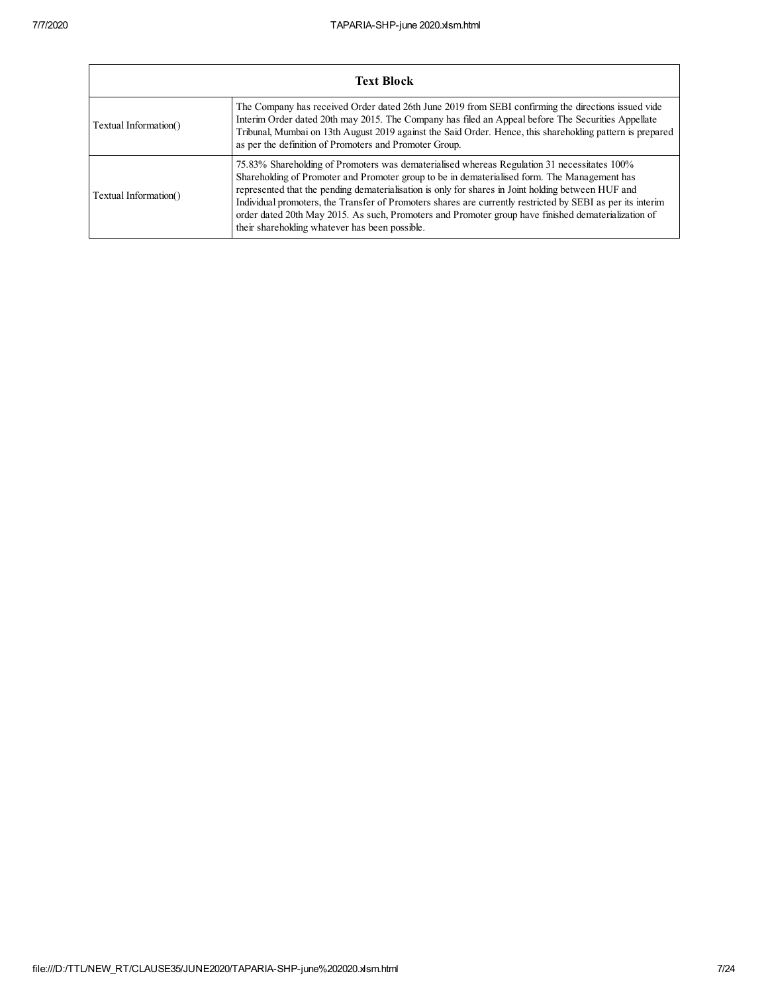|                       | <b>Text Block</b>                                                                                                                                                                                                                                                                                                                                                                                                                                                                                                                                                           |
|-----------------------|-----------------------------------------------------------------------------------------------------------------------------------------------------------------------------------------------------------------------------------------------------------------------------------------------------------------------------------------------------------------------------------------------------------------------------------------------------------------------------------------------------------------------------------------------------------------------------|
| Textual Information() | The Company has received Order dated 26th June 2019 from SEBI confirming the directions issued vide<br>Interim Order dated 20th may 2015. The Company has filed an Appeal before The Securities Appellate<br>Tribunal, Mumbai on 13th August 2019 against the Said Order. Hence, this shareholding pattern is prepared<br>as per the definition of Promoters and Promoter Group.                                                                                                                                                                                            |
| Textual Information() | 75.83% Shareholding of Promoters was dematerialised whereas Regulation 31 necessitates 100%<br>Shareholding of Promoter and Promoter group to be in dematerialised form. The Management has<br>represented that the pending dematerialisation is only for shares in Joint holding between HUF and<br>Individual promoters, the Transfer of Promoters shares are currently restricted by SEBI as per its interiment<br>order dated 20th May 2015. As such, Promoters and Promoter group have finished dematerialization of<br>their shareholding whatever has been possible. |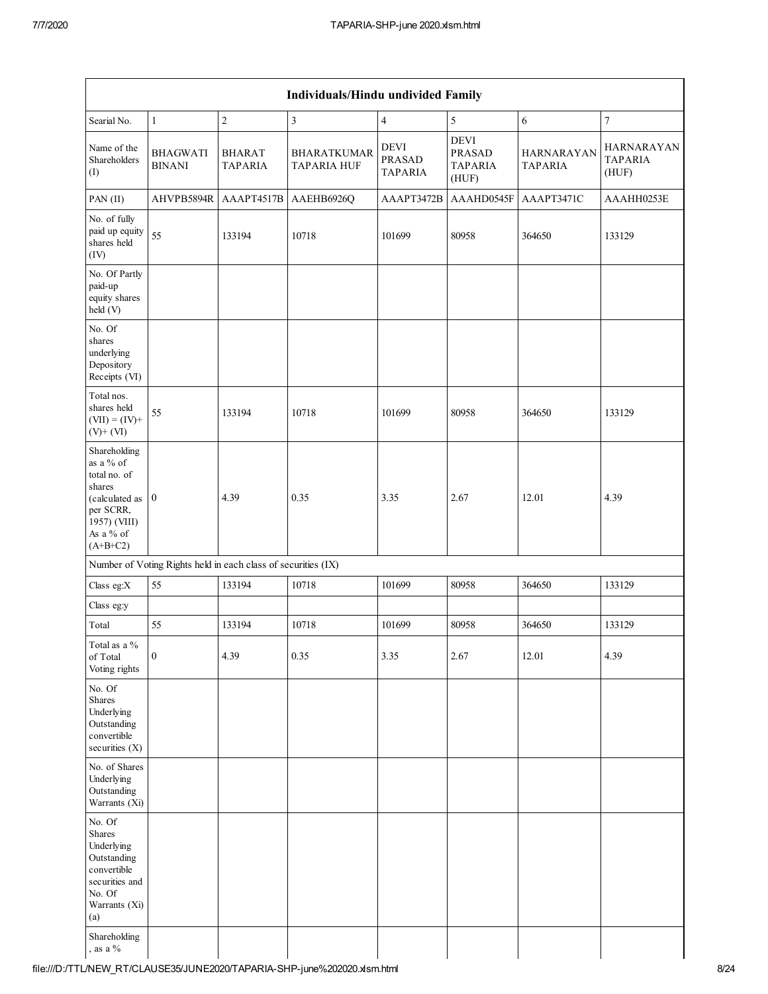$\mathbf{r}$ 

| Individuals/Hindu undivided Family                                                                                                            |                                                               |                                 |                                          |                                                |                                                         |                                     |                                              |  |  |  |  |  |
|-----------------------------------------------------------------------------------------------------------------------------------------------|---------------------------------------------------------------|---------------------------------|------------------------------------------|------------------------------------------------|---------------------------------------------------------|-------------------------------------|----------------------------------------------|--|--|--|--|--|
| Searial No.                                                                                                                                   | $\mathbf{1}$                                                  | $\sqrt{2}$                      | $\mathfrak{Z}$                           | $\overline{4}$                                 | 5                                                       | $\sqrt{6}$                          | $\boldsymbol{7}$                             |  |  |  |  |  |
| Name of the<br>Shareholders<br>(I)                                                                                                            | <b>BHAGWATI</b><br><b>BINANI</b>                              | <b>BHARAT</b><br><b>TAPARIA</b> | <b>BHARATKUMAR</b><br><b>TAPARIA HUF</b> | <b>DEVI</b><br><b>PRASAD</b><br><b>TAPARIA</b> | <b>DEVI</b><br><b>PRASAD</b><br><b>TAPARIA</b><br>(HUF) | <b>HARNARAYAN</b><br><b>TAPARIA</b> | <b>HARNARAYAN</b><br><b>TAPARIA</b><br>(HUF) |  |  |  |  |  |
| PAN(II)                                                                                                                                       | AHVPB5894R                                                    | AAAPT4517B                      | AAEHB6926Q                               | AAAPT3472B                                     | AAAHD0545F                                              | AAAPT3471C                          | AAAHH0253E                                   |  |  |  |  |  |
| No. of fully<br>paid up equity<br>shares held<br>(IV)                                                                                         | 55                                                            | 133194                          | 10718                                    | 101699                                         | 80958                                                   | 364650                              | 133129                                       |  |  |  |  |  |
| No. Of Partly<br>paid-up<br>equity shares<br>held (V)                                                                                         |                                                               |                                 |                                          |                                                |                                                         |                                     |                                              |  |  |  |  |  |
| No. Of<br>shares<br>underlying<br>Depository<br>Receipts (VI)                                                                                 |                                                               |                                 |                                          |                                                |                                                         |                                     |                                              |  |  |  |  |  |
| Total nos.<br>shares held<br>$(VII) = (IV) +$<br>$(V)+(VI)$                                                                                   | 55                                                            | 133194                          | 10718                                    | 101699                                         | 80958                                                   | 364650                              | 133129                                       |  |  |  |  |  |
| Shareholding<br>as a % of<br>total no. of<br>shares<br>(calculated as $\vert 0 \vert$<br>per SCRR,<br>1957) (VIII)<br>As a % of<br>$(A+B+C2)$ |                                                               | 4.39                            | 0.35                                     | 3.35                                           | 2.67                                                    | 12.01                               | 4.39                                         |  |  |  |  |  |
|                                                                                                                                               | Number of Voting Rights held in each class of securities (IX) |                                 |                                          |                                                |                                                         |                                     |                                              |  |  |  |  |  |
| Class eg:X                                                                                                                                    | 55                                                            | 133194                          | 10718                                    | 101699                                         | 80958                                                   | 364650                              | 133129                                       |  |  |  |  |  |
| Class eg:y                                                                                                                                    |                                                               |                                 |                                          |                                                |                                                         |                                     |                                              |  |  |  |  |  |
| Total                                                                                                                                         | 55                                                            | 133194                          | 10718                                    | 101699                                         | 80958                                                   | 364650                              | 133129                                       |  |  |  |  |  |
| Total as a %<br>of Total<br>Voting rights                                                                                                     | $\boldsymbol{0}$                                              | 4.39                            | 0.35                                     | 3.35                                           | 2.67                                                    | 12.01                               | 4.39                                         |  |  |  |  |  |
| No. Of<br>Shares<br>Underlying<br>Outstanding<br>convertible<br>securities (X)                                                                |                                                               |                                 |                                          |                                                |                                                         |                                     |                                              |  |  |  |  |  |
| No. of Shares<br>Underlying<br>Outstanding<br>Warrants (Xi)                                                                                   |                                                               |                                 |                                          |                                                |                                                         |                                     |                                              |  |  |  |  |  |
| No. Of<br>Shares<br>Underlying<br>Outstanding<br>convertible<br>securities and<br>No. Of<br>Warrants (Xi)<br>(a)<br>Shareholding              |                                                               |                                 |                                          |                                                |                                                         |                                     |                                              |  |  |  |  |  |
| , as a $\%$                                                                                                                                   |                                                               |                                 |                                          |                                                |                                                         |                                     |                                              |  |  |  |  |  |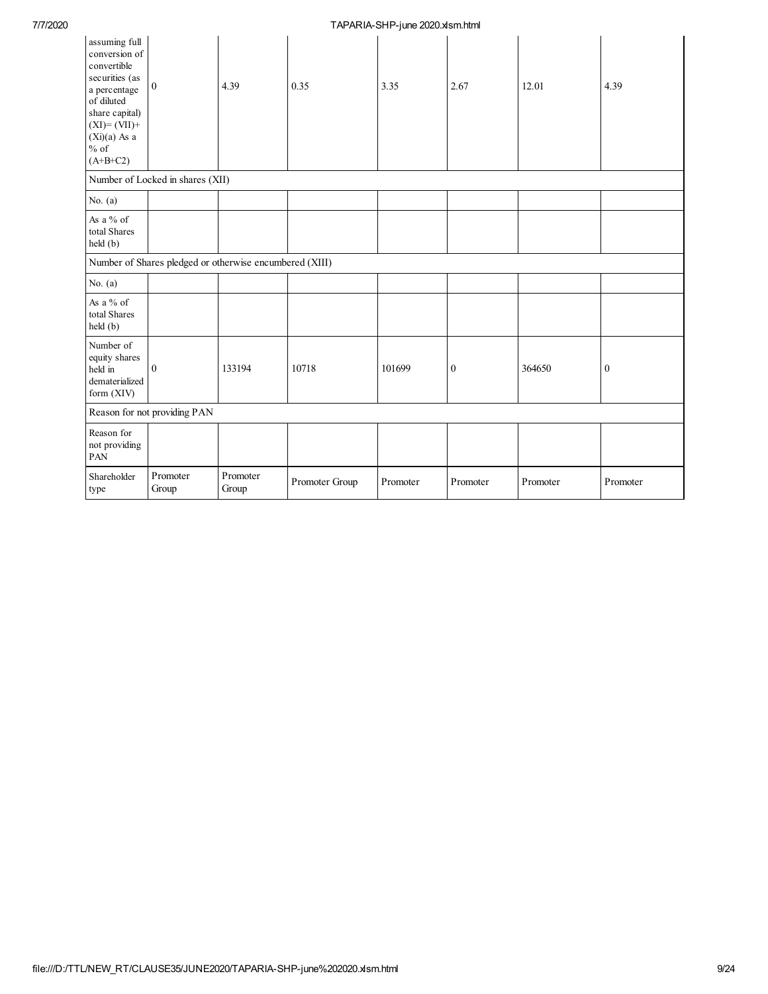## 7/7/2020 TAPARIA-SHP-june 2020.xlsm.html

| assuming full<br>conversion of<br>convertible<br>securities (as<br>a percentage<br>of diluted<br>share capital)<br>$(XI)=(VII)+$<br>$(Xi)(a)$ As a<br>$%$ of<br>$(A+B+C2)$ | $\mathbf{0}$                                            | 4.39              | 0.35           | 3.35     | 2.67             | 12.01    | 4.39             |
|----------------------------------------------------------------------------------------------------------------------------------------------------------------------------|---------------------------------------------------------|-------------------|----------------|----------|------------------|----------|------------------|
|                                                                                                                                                                            | Number of Locked in shares (XII)                        |                   |                |          |                  |          |                  |
| No. $(a)$                                                                                                                                                                  |                                                         |                   |                |          |                  |          |                  |
| As a % of<br>total Shares<br>held (b)                                                                                                                                      |                                                         |                   |                |          |                  |          |                  |
|                                                                                                                                                                            | Number of Shares pledged or otherwise encumbered (XIII) |                   |                |          |                  |          |                  |
| No. $(a)$                                                                                                                                                                  |                                                         |                   |                |          |                  |          |                  |
| As a $%$ of<br>total Shares<br>held(b)                                                                                                                                     |                                                         |                   |                |          |                  |          |                  |
| Number of<br>equity shares<br>held in<br>dematerialized<br>form (XIV)                                                                                                      | $\mathbf{0}$                                            | 133194            | 10718          | 101699   | $\boldsymbol{0}$ | 364650   | $\boldsymbol{0}$ |
|                                                                                                                                                                            | Reason for not providing PAN                            |                   |                |          |                  |          |                  |
| Reason for<br>not providing<br>PAN                                                                                                                                         |                                                         |                   |                |          |                  |          |                  |
| Shareholder<br>type                                                                                                                                                        | Promoter<br>Group                                       | Promoter<br>Group | Promoter Group | Promoter | Promoter         | Promoter | Promoter         |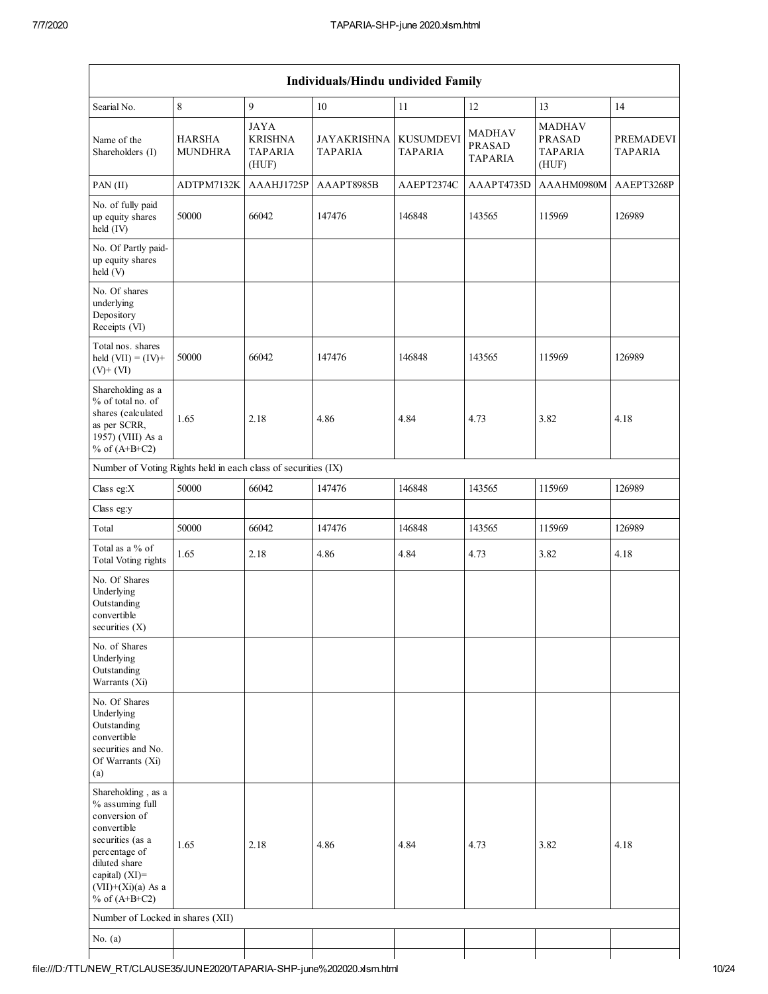|                                                                                                                                                                                          |                                 |                                                          | Individuals/Hindu undivided Family   |                                    |                                                  |                                                           |                                    |
|------------------------------------------------------------------------------------------------------------------------------------------------------------------------------------------|---------------------------------|----------------------------------------------------------|--------------------------------------|------------------------------------|--------------------------------------------------|-----------------------------------------------------------|------------------------------------|
| Searial No.                                                                                                                                                                              | $\,$ 8 $\,$                     | $\mathbf{Q}$                                             | 10                                   | 11                                 | 12                                               | 13                                                        | 14                                 |
| Name of the<br>Shareholders (I)                                                                                                                                                          | <b>HARSHA</b><br><b>MUNDHRA</b> | <b>JAYA</b><br><b>KRISHNA</b><br><b>TAPARIA</b><br>(HUF) | <b>JAYAKRISHNA</b><br><b>TAPARIA</b> | <b>KUSUMDEVI</b><br><b>TAPARIA</b> | <b>MADHAV</b><br><b>PRASAD</b><br><b>TAPARIA</b> | <b>MADHAV</b><br><b>PRASAD</b><br><b>TAPARIA</b><br>(HUF) | <b>PREMADEVI</b><br><b>TAPARIA</b> |
| PAN (II)                                                                                                                                                                                 | ADTPM7132K                      | AAAHJ1725P                                               | AAAPT8985B                           | AAEPT2374C                         | AAAPT4735D                                       | AAAHM0980M                                                | AAEPT3268P                         |
| No. of fully paid<br>up equity shares<br>held (IV)                                                                                                                                       | 50000                           | 66042                                                    | 147476                               | 146848                             | 143565                                           | 115969                                                    | 126989                             |
| No. Of Partly paid-<br>up equity shares<br>held (V)                                                                                                                                      |                                 |                                                          |                                      |                                    |                                                  |                                                           |                                    |
| No. Of shares<br>underlying<br>Depository<br>Receipts (VI)                                                                                                                               |                                 |                                                          |                                      |                                    |                                                  |                                                           |                                    |
| Total nos. shares<br>held $(VII) = (IV) +$<br>$(V)$ + $(VI)$                                                                                                                             | 50000                           | 66042                                                    | 147476                               | 146848                             | 143565                                           | 115969                                                    | 126989                             |
| Shareholding as a<br>% of total no. of<br>shares (calculated<br>as per SCRR,<br>1957) (VIII) As a<br>% of $(A+B+C2)$                                                                     | 1.65                            | 2.18                                                     | 4.86                                 | 4.84                               | 4.73                                             | 3.82                                                      | 4.18                               |
| Number of Voting Rights held in each class of securities (IX)                                                                                                                            |                                 |                                                          |                                      |                                    |                                                  |                                                           |                                    |
| Class eg:X                                                                                                                                                                               | 50000                           | 66042                                                    | 147476                               | 146848                             | 143565                                           | 115969                                                    | 126989                             |
| Class eg:y                                                                                                                                                                               |                                 |                                                          |                                      |                                    |                                                  |                                                           |                                    |
| Total                                                                                                                                                                                    | 50000                           | 66042                                                    | 147476                               | 146848                             | 143565                                           | 115969                                                    | 126989                             |
| Total as a % of<br>Total Voting rights                                                                                                                                                   | 1.65                            | 2.18                                                     | 4.86                                 | 4.84                               | 4.73                                             | 3.82                                                      | 4.18                               |
| No. Of Shares<br>Underlying<br>Outstanding<br>convertible<br>securities $(X)$                                                                                                            |                                 |                                                          |                                      |                                    |                                                  |                                                           |                                    |
| No. of Shares<br>Underlying<br>Outstanding<br>Warrants (Xi)                                                                                                                              |                                 |                                                          |                                      |                                    |                                                  |                                                           |                                    |
| No. Of Shares<br>Underlying<br>Outstanding<br>convertible<br>securities and No.<br>Of Warrants (Xi)<br>(a)                                                                               |                                 |                                                          |                                      |                                    |                                                  |                                                           |                                    |
| Shareholding, as a<br>% assuming full<br>conversion of<br>convertible<br>securities (as a<br>percentage of<br>diluted share<br>capital) (XI)=<br>$(VII)+(Xi)(a)$ As a<br>% of $(A+B+C2)$ | 1.65                            | 2.18                                                     | 4.86                                 | 4.84                               | 4.73                                             | 3.82                                                      | 4.18                               |
| Number of Locked in shares (XII)                                                                                                                                                         |                                 |                                                          |                                      |                                    |                                                  |                                                           |                                    |
| No. $(a)$                                                                                                                                                                                |                                 |                                                          |                                      |                                    |                                                  |                                                           |                                    |
|                                                                                                                                                                                          |                                 |                                                          |                                      |                                    |                                                  |                                                           |                                    |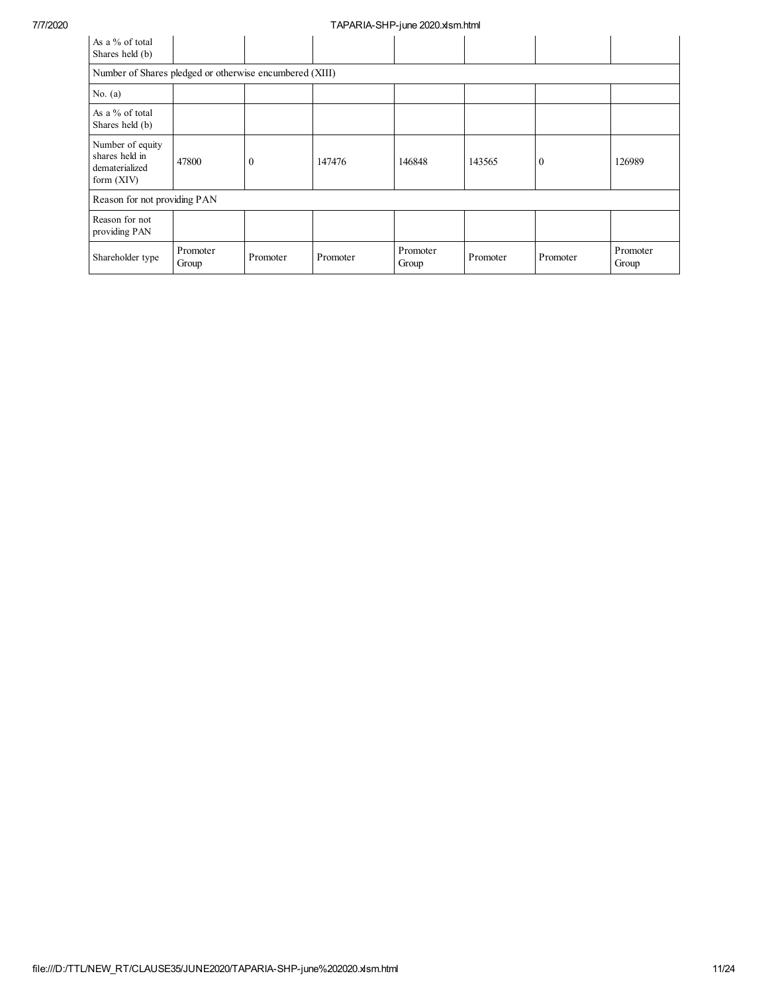| As a % of total<br>Shares held (b)                                   |                   |              |          |                   |          |          |                   |
|----------------------------------------------------------------------|-------------------|--------------|----------|-------------------|----------|----------|-------------------|
| Number of Shares pledged or otherwise encumbered (XIII)              |                   |              |          |                   |          |          |                   |
| No. $(a)$                                                            |                   |              |          |                   |          |          |                   |
| As a % of total<br>Shares held (b)                                   |                   |              |          |                   |          |          |                   |
| Number of equity<br>shares held in<br>dematerialized<br>form $(XIV)$ | 47800             | $\mathbf{0}$ | 147476   | 146848            | 143565   | $\Omega$ | 126989            |
| Reason for not providing PAN                                         |                   |              |          |                   |          |          |                   |
| Reason for not<br>providing PAN                                      |                   |              |          |                   |          |          |                   |
| Shareholder type                                                     | Promoter<br>Group | Promoter     | Promoter | Promoter<br>Group | Promoter | Promoter | Promoter<br>Group |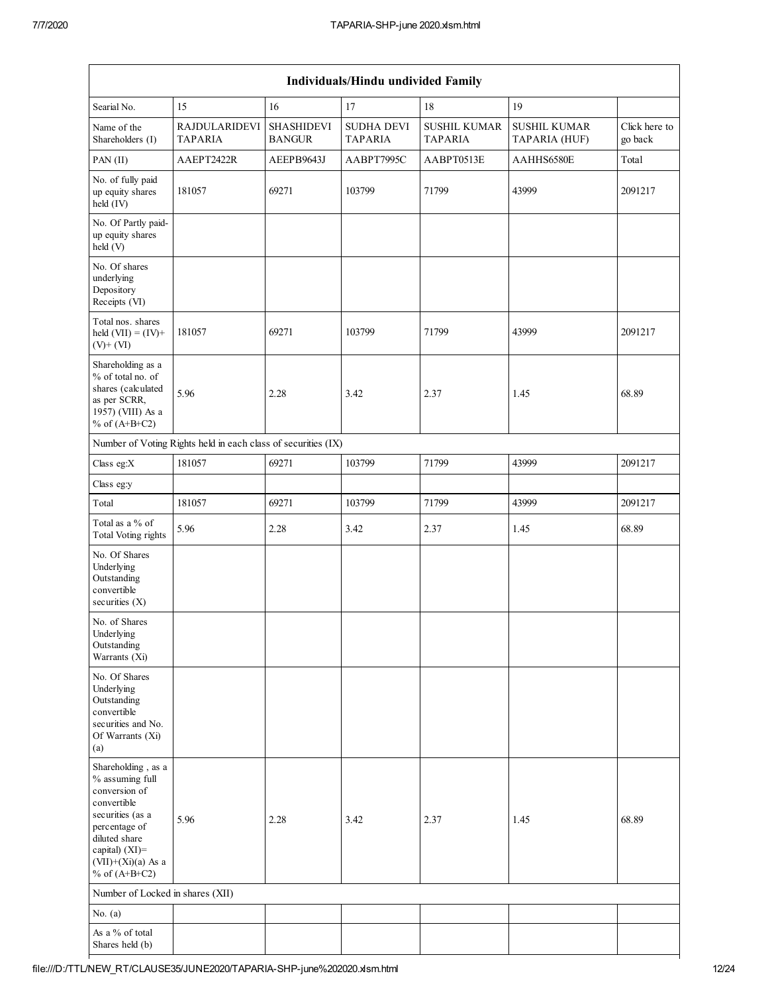| Individuals/Hindu undivided Family                                                                                                                                                          |                                                               |                                    |                                     |                                       |                                      |                          |  |  |  |  |  |  |
|---------------------------------------------------------------------------------------------------------------------------------------------------------------------------------------------|---------------------------------------------------------------|------------------------------------|-------------------------------------|---------------------------------------|--------------------------------------|--------------------------|--|--|--|--|--|--|
| Searial No.                                                                                                                                                                                 | 15                                                            | 16                                 | 17                                  | 18                                    | 19                                   |                          |  |  |  |  |  |  |
| Name of the<br>Shareholders (I)                                                                                                                                                             | <b>RAJDULARIDEVI</b><br>TAPARIA                               | <b>SHASHIDEVI</b><br><b>BANGUR</b> | <b>SUDHA DEVI</b><br><b>TAPARIA</b> | <b>SUSHIL KUMAR</b><br><b>TAPARIA</b> | <b>SUSHIL KUMAR</b><br>TAPARIA (HUF) | Click here to<br>go back |  |  |  |  |  |  |
| $PAN$ (II)                                                                                                                                                                                  | AAEPT2422R                                                    | AEEPB9643J                         | AABPT7995C                          | AABPT0513E                            | AAHHS6580E                           | Total                    |  |  |  |  |  |  |
| No. of fully paid<br>up equity shares<br>held (IV)                                                                                                                                          | 181057                                                        | 69271                              | 103799                              | 71799                                 | 43999                                | 2091217                  |  |  |  |  |  |  |
| No. Of Partly paid-<br>up equity shares<br>held (V)                                                                                                                                         |                                                               |                                    |                                     |                                       |                                      |                          |  |  |  |  |  |  |
| No. Of shares<br>underlying<br>Depository<br>Receipts (VI)                                                                                                                                  |                                                               |                                    |                                     |                                       |                                      |                          |  |  |  |  |  |  |
| Total nos. shares<br>held $(VII) = (IV) +$<br>$(V)$ + $(VI)$                                                                                                                                | 181057                                                        | 69271                              | 103799                              | 71799                                 | 43999                                | 2091217                  |  |  |  |  |  |  |
| Shareholding as a<br>% of total no. of<br>shares (calculated<br>as per SCRR,<br>1957) (VIII) As a<br>% of $(A+B+C2)$                                                                        | 5.96                                                          | 2.28                               | 3.42                                | 2.37                                  | 1.45                                 | 68.89                    |  |  |  |  |  |  |
|                                                                                                                                                                                             | Number of Voting Rights held in each class of securities (IX) |                                    |                                     |                                       |                                      |                          |  |  |  |  |  |  |
| Class eg:X                                                                                                                                                                                  | 181057                                                        | 69271                              | 103799                              | 71799                                 | 43999                                | 2091217                  |  |  |  |  |  |  |
| Class eg:y                                                                                                                                                                                  |                                                               |                                    |                                     |                                       |                                      |                          |  |  |  |  |  |  |
| Total                                                                                                                                                                                       | 181057                                                        | 69271                              | 103799                              | 71799                                 | 43999                                | 2091217                  |  |  |  |  |  |  |
| Total as a % of<br><b>Total Voting rights</b>                                                                                                                                               | 5.96                                                          | 2.28                               | 3.42                                | 2.37                                  | 1.45                                 | 68.89                    |  |  |  |  |  |  |
| No. Of Shares<br>Underlying<br>Outstanding<br>convertible<br>securities $(X)$                                                                                                               |                                                               |                                    |                                     |                                       |                                      |                          |  |  |  |  |  |  |
| No. of Shares<br>Underlying<br>Outstanding<br>Warrants (Xi)                                                                                                                                 |                                                               |                                    |                                     |                                       |                                      |                          |  |  |  |  |  |  |
| No. Of Shares<br>Underlying<br>Outstanding<br>convertible<br>securities and No.<br>Of Warrants (Xi)<br>(a)                                                                                  |                                                               |                                    |                                     |                                       |                                      |                          |  |  |  |  |  |  |
| Shareholding, as a<br>% assuming full<br>conversion of<br>convertible<br>securities (as a<br>percentage of<br>diluted share<br>capital) $(XI)$ =<br>$(VII)+(Xi)(a)$ As a<br>% of $(A+B+C2)$ | 5.96                                                          | 2.28                               | 3.42                                | 2.37                                  | 1.45                                 | 68.89                    |  |  |  |  |  |  |
| Number of Locked in shares (XII)                                                                                                                                                            |                                                               |                                    |                                     |                                       |                                      |                          |  |  |  |  |  |  |
| No. $(a)$                                                                                                                                                                                   |                                                               |                                    |                                     |                                       |                                      |                          |  |  |  |  |  |  |
| As a % of total<br>Shares held (b)                                                                                                                                                          |                                                               |                                    |                                     |                                       |                                      |                          |  |  |  |  |  |  |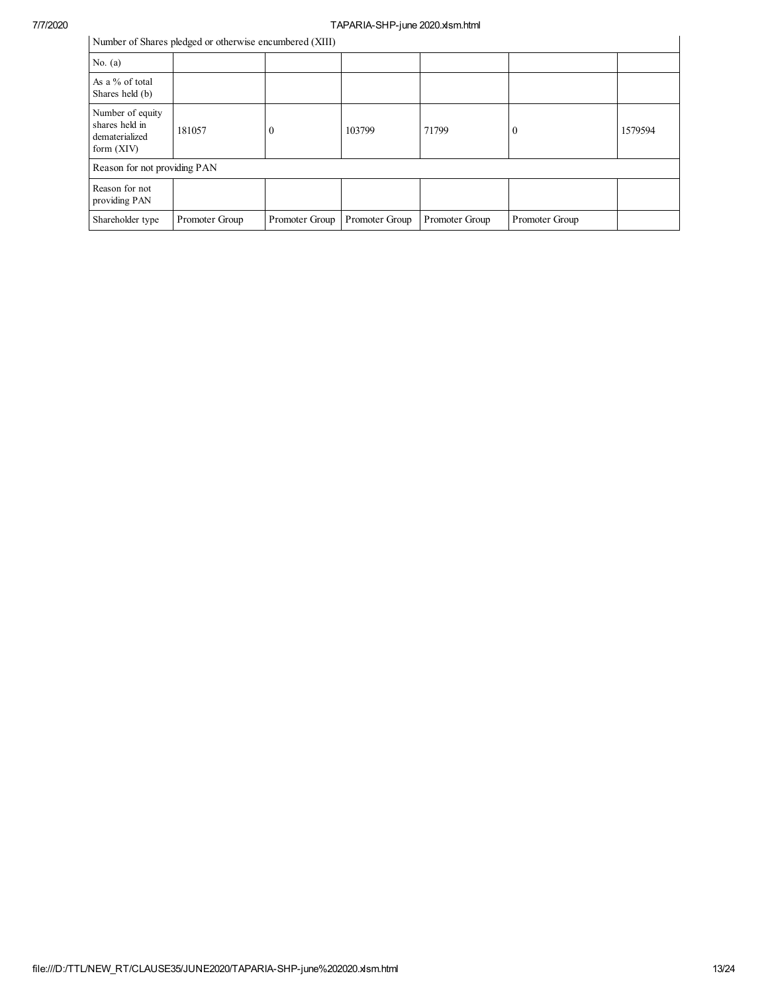# 7/7/2020<br>
Number of Shance aladead an otherwise anaumbered (YIII)

| Number of Shares pledged or otherwise encumbered (XIII) |  |  |  |
|---------------------------------------------------------|--|--|--|
|                                                         |  |  |  |

| Number of Shares pledged or otherwise encumbered (XIII)              |                |                  |                |                |                |         |
|----------------------------------------------------------------------|----------------|------------------|----------------|----------------|----------------|---------|
| No. $(a)$                                                            |                |                  |                |                |                |         |
| As a % of total<br>Shares held (b)                                   |                |                  |                |                |                |         |
| Number of equity<br>shares held in<br>dematerialized<br>form $(XIV)$ | 181057         | $\boldsymbol{0}$ | 103799         | 71799          | 0              | 1579594 |
| Reason for not providing PAN                                         |                |                  |                |                |                |         |
| Reason for not<br>providing PAN                                      |                |                  |                |                |                |         |
| Shareholder type                                                     | Promoter Group | Promoter Group   | Promoter Group | Promoter Group | Promoter Group |         |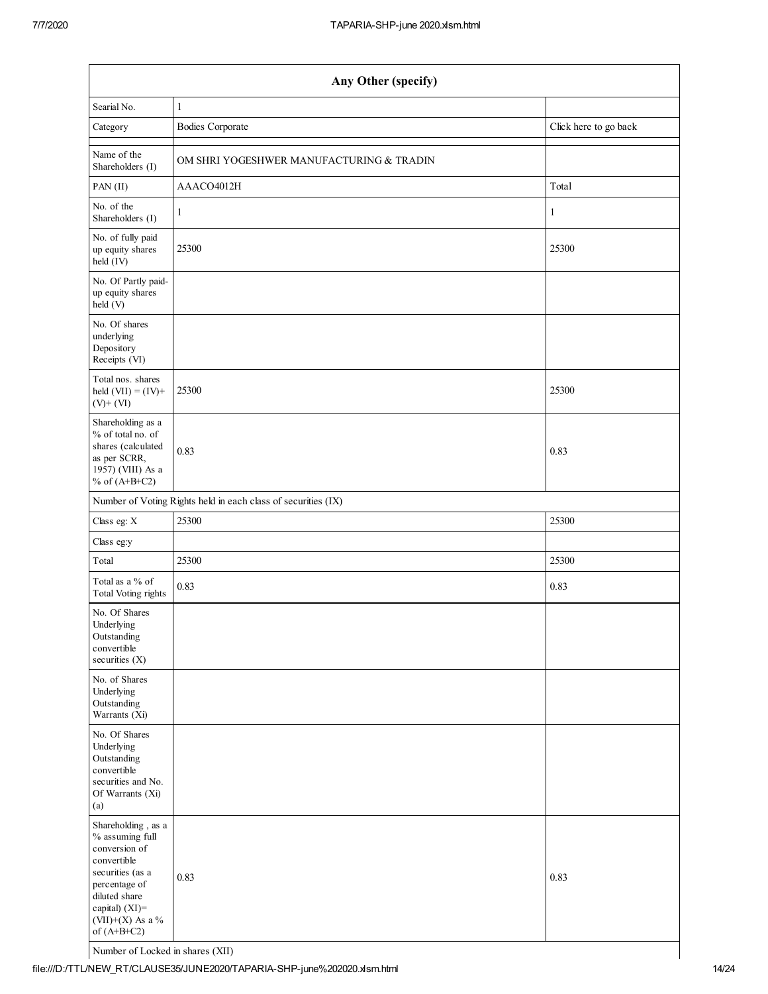| Any Other (specify)                                                                                                                                                                |                                                               |                       |  |  |  |
|------------------------------------------------------------------------------------------------------------------------------------------------------------------------------------|---------------------------------------------------------------|-----------------------|--|--|--|
| Searial No.                                                                                                                                                                        | 1                                                             |                       |  |  |  |
| Category                                                                                                                                                                           | <b>Bodies Corporate</b>                                       | Click here to go back |  |  |  |
| Name of the<br>Shareholders (I)                                                                                                                                                    | OM SHRI YOGESHWER MANUFACTURING & TRADIN                      |                       |  |  |  |
| PAN(II)                                                                                                                                                                            | AAACO4012H                                                    | Total                 |  |  |  |
| No. of the<br>Shareholders (I)                                                                                                                                                     | 1                                                             | 1                     |  |  |  |
| No. of fully paid<br>up equity shares<br>held (IV)                                                                                                                                 | 25300                                                         | 25300                 |  |  |  |
| No. Of Partly paid-<br>up equity shares<br>held(V)                                                                                                                                 |                                                               |                       |  |  |  |
| No. Of shares<br>underlying<br>Depository<br>Receipts (VI)                                                                                                                         |                                                               |                       |  |  |  |
| Total nos. shares<br>held $(VII) = (IV) +$<br>$(V)$ + $(VI)$                                                                                                                       | 25300                                                         | 25300                 |  |  |  |
| Shareholding as a<br>% of total no. of<br>shares (calculated<br>as per SCRR,<br>1957) (VIII) As a<br>% of $(A+B+C2)$                                                               | 0.83                                                          | 0.83                  |  |  |  |
|                                                                                                                                                                                    | Number of Voting Rights held in each class of securities (IX) |                       |  |  |  |
| Class eg: $\mathbf X$                                                                                                                                                              | 25300                                                         | 25300                 |  |  |  |
| Class eg:y                                                                                                                                                                         |                                                               |                       |  |  |  |
| Total                                                                                                                                                                              | 25300                                                         | 25300                 |  |  |  |
| Total as a % of<br>Total Voting rights                                                                                                                                             | 0.83                                                          | 0.83                  |  |  |  |
| No. Of Shares<br>Underlying<br>Outstanding<br>convertible<br>securities (X)                                                                                                        |                                                               |                       |  |  |  |
| No. of Shares<br>Underlying<br>Outstanding<br>Warrants (Xi)                                                                                                                        |                                                               |                       |  |  |  |
| No. Of Shares<br>Underlying<br>Outstanding<br>convertible<br>securities and No.<br>Of Warrants (Xi)<br>(a)                                                                         |                                                               |                       |  |  |  |
| Shareholding, as a<br>% assuming full<br>conversion of<br>convertible<br>securities (as a<br>percentage of<br>diluted share<br>capital) (XI)=<br>(VII)+(X) As a %<br>of $(A+B+C2)$ | 0.83                                                          | 0.83                  |  |  |  |

Number of Locked in shares (XII)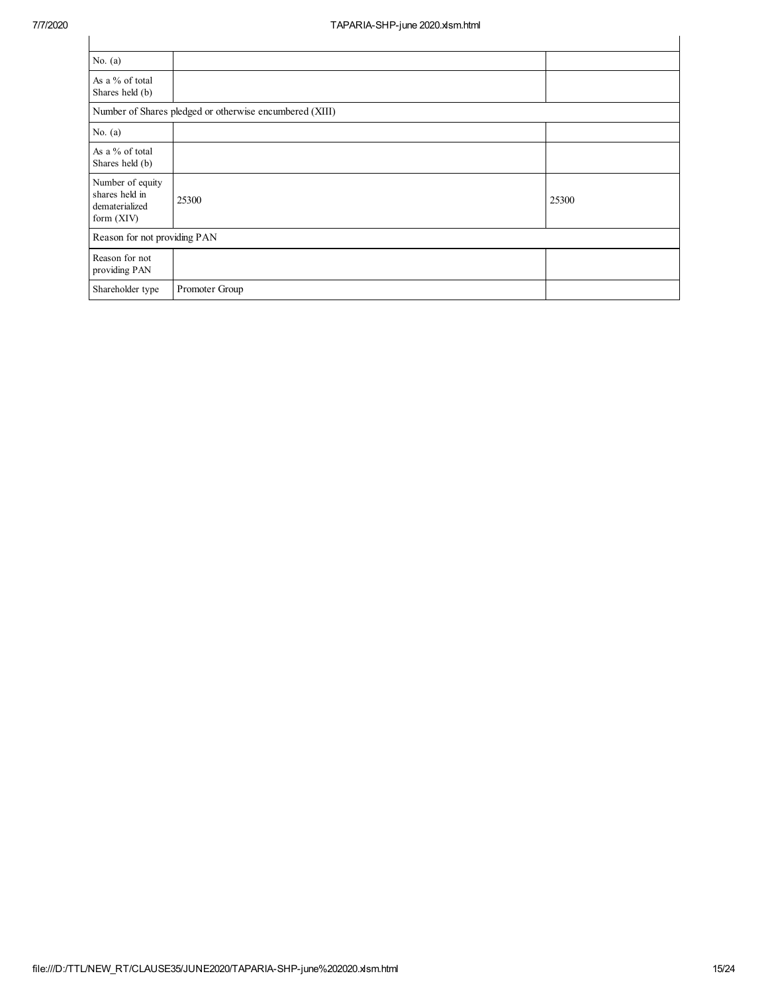| No. $(a)$                                                          |                |       |  |  |  |  |
|--------------------------------------------------------------------|----------------|-------|--|--|--|--|
| As a % of total<br>Shares held (b)                                 |                |       |  |  |  |  |
| Number of Shares pledged or otherwise encumbered (XIII)            |                |       |  |  |  |  |
| No. $(a)$                                                          |                |       |  |  |  |  |
| As a % of total<br>Shares held (b)                                 |                |       |  |  |  |  |
| Number of equity<br>shares held in<br>dematerialized<br>form (XIV) | 25300          | 25300 |  |  |  |  |
| Reason for not providing PAN                                       |                |       |  |  |  |  |
| Reason for not<br>providing PAN                                    |                |       |  |  |  |  |
| Shareholder type                                                   | Promoter Group |       |  |  |  |  |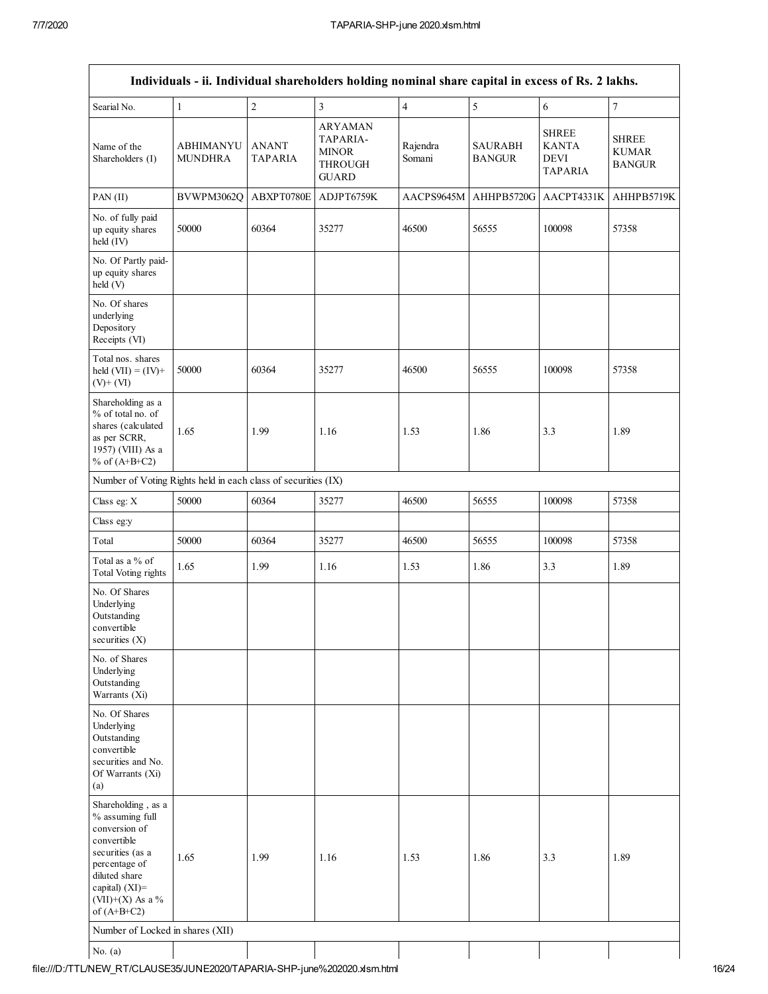|                                                                                                                                                                                    |                             |                         | Individuals - ii. Individual shareholders holding nominal share capital in excess of Rs. 2 lakhs. |                    |                                 |                                                        |                                               |
|------------------------------------------------------------------------------------------------------------------------------------------------------------------------------------|-----------------------------|-------------------------|---------------------------------------------------------------------------------------------------|--------------------|---------------------------------|--------------------------------------------------------|-----------------------------------------------|
| Searial No.                                                                                                                                                                        | $\mathbf{1}$                | $\sqrt{2}$              | $\overline{\mathbf{3}}$                                                                           | $\overline{4}$     | $\sqrt{5}$                      | 6                                                      | $\boldsymbol{7}$                              |
| Name of the<br>Shareholders (I)                                                                                                                                                    | ABHIMANYU<br><b>MUNDHRA</b> | <b>ANANT</b><br>TAPARIA | <b>ARYAMAN</b><br>TAPARIA-<br><b>MINOR</b><br><b>THROUGH</b><br><b>GUARD</b>                      | Rajendra<br>Somani | <b>SAURABH</b><br><b>BANGUR</b> | <b>SHREE</b><br><b>KANTA</b><br>DEVI<br><b>TAPARIA</b> | <b>SHREE</b><br><b>KUMAR</b><br><b>BANGUR</b> |
| PAN (II)                                                                                                                                                                           | BVWPM3062Q                  | ABXPT0780E              | ADJPT6759K                                                                                        | AACPS9645M         |                                 | AHHPB5720G   AACPT4331K                                | AHHPB5719K                                    |
| No. of fully paid<br>up equity shares<br>held (IV)                                                                                                                                 | 50000                       | 60364                   | 35277                                                                                             | 46500              | 56555                           | 100098                                                 | 57358                                         |
| No. Of Partly paid-<br>up equity shares<br>held(V)                                                                                                                                 |                             |                         |                                                                                                   |                    |                                 |                                                        |                                               |
| No. Of shares<br>underlying<br>Depository<br>Receipts (VI)                                                                                                                         |                             |                         |                                                                                                   |                    |                                 |                                                        |                                               |
| Total nos. shares<br>held $(VII) = (IV) +$<br>$(V)+(VI)$                                                                                                                           | 50000                       | 60364                   | 35277                                                                                             | 46500              | 56555                           | 100098                                                 | 57358                                         |
| Shareholding as a<br>% of total no. of<br>shares (calculated<br>as per SCRR,<br>1957) (VIII) As a<br>% of $(A+B+C2)$                                                               | 1.65                        | 1.99                    | 1.16                                                                                              | 1.53               | 1.86                            | 3.3                                                    | 1.89                                          |
| Number of Voting Rights held in each class of securities (IX)                                                                                                                      |                             |                         |                                                                                                   |                    |                                 |                                                        |                                               |
| Class eg: X                                                                                                                                                                        | 50000                       | 60364                   | 35277                                                                                             | 46500              | 56555                           | 100098                                                 | 57358                                         |
| Class eg:y                                                                                                                                                                         |                             |                         |                                                                                                   |                    |                                 |                                                        |                                               |
| Total                                                                                                                                                                              | 50000                       | 60364                   | 35277                                                                                             | 46500              | 56555                           | 100098                                                 | 57358                                         |
| Total as a % of<br><b>Total Voting rights</b>                                                                                                                                      | 1.65                        | 1.99                    | 1.16                                                                                              | 1.53               | 1.86                            | 3.3                                                    | 1.89                                          |
| No. Of Shares<br>Underlying<br>Outstanding<br>convertible<br>securities (X)                                                                                                        |                             |                         |                                                                                                   |                    |                                 |                                                        |                                               |
| No. of Shares<br>Underlying<br>Outstanding<br>Warrants (Xi)                                                                                                                        |                             |                         |                                                                                                   |                    |                                 |                                                        |                                               |
| No. Of Shares<br>Underlying<br>Outstanding<br>convertible<br>securities and No.<br>Of Warrants (Xi)<br>(a)                                                                         |                             |                         |                                                                                                   |                    |                                 |                                                        |                                               |
| Shareholding, as a<br>% assuming full<br>conversion of<br>convertible<br>securities (as a<br>percentage of<br>diluted share<br>capital) (XI)=<br>(VII)+(X) As a %<br>of $(A+B+C2)$ | 1.65                        | 1.99                    | 1.16                                                                                              | 1.53               | 1.86                            | 3.3                                                    | 1.89                                          |
| Number of Locked in shares (XII)                                                                                                                                                   |                             |                         |                                                                                                   |                    |                                 |                                                        |                                               |
| No. $(a)$                                                                                                                                                                          |                             |                         |                                                                                                   |                    |                                 |                                                        |                                               |
|                                                                                                                                                                                    |                             |                         |                                                                                                   |                    |                                 |                                                        |                                               |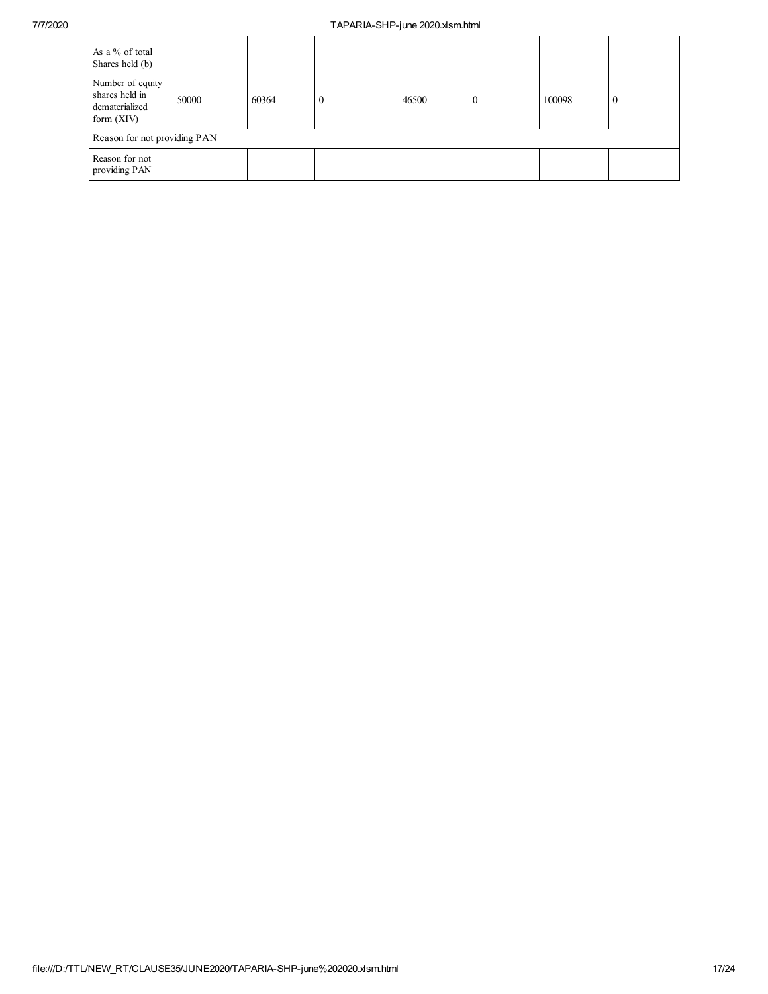## 7/7/2020 TAPARIA-SHP-june 2020.xlsm.html

| As a % of total<br>Shares held (b)                                   |       |       |          |       |    |        |          |
|----------------------------------------------------------------------|-------|-------|----------|-------|----|--------|----------|
| Number of equity<br>shares held in<br>dematerialized<br>form $(XIV)$ | 50000 | 60364 | $\theta$ | 46500 | -0 | 100098 | $\bf{0}$ |
| Reason for not providing PAN                                         |       |       |          |       |    |        |          |
| Reason for not<br>providing PAN                                      |       |       |          |       |    |        |          |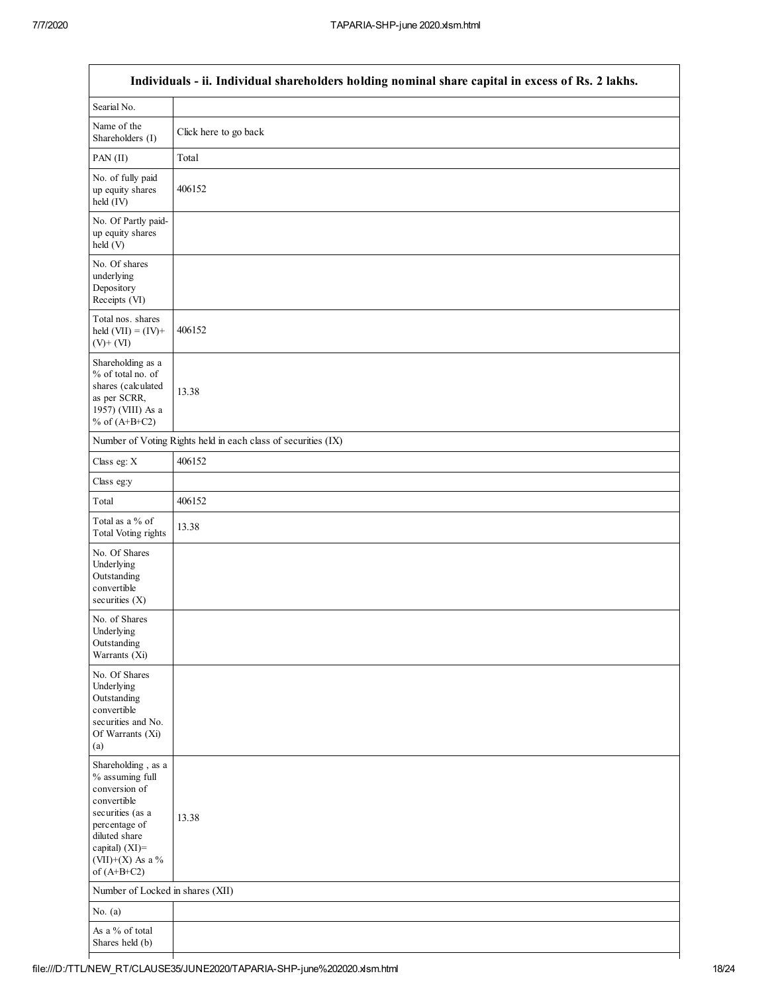|                                                                                                                                                                                         | Individuals - ii. Individual shareholders holding nominal share capital in excess of Rs. 2 lakhs. |
|-----------------------------------------------------------------------------------------------------------------------------------------------------------------------------------------|---------------------------------------------------------------------------------------------------|
| Searial No.                                                                                                                                                                             |                                                                                                   |
| Name of the<br>Shareholders (I)                                                                                                                                                         | Click here to go back                                                                             |
| PAN (II)                                                                                                                                                                                | Total                                                                                             |
| No. of fully paid<br>up equity shares<br>held (IV)                                                                                                                                      | 406152                                                                                            |
| No. Of Partly paid-<br>up equity shares<br>held (V)                                                                                                                                     |                                                                                                   |
| No. Of shares<br>underlying<br>Depository<br>Receipts (VI)                                                                                                                              |                                                                                                   |
| Total nos. shares<br>held $(VII) = (IV) +$<br>$(V)$ + $(VI)$                                                                                                                            | 406152                                                                                            |
| Shareholding as a<br>% of total no. of<br>shares (calculated<br>as per SCRR,<br>1957) (VIII) As a<br>% of $(A+B+C2)$                                                                    | 13.38                                                                                             |
|                                                                                                                                                                                         | Number of Voting Rights held in each class of securities (IX)                                     |
| Class eg: $\mathbf X$                                                                                                                                                                   | 406152                                                                                            |
| Class eg:y                                                                                                                                                                              |                                                                                                   |
| Total                                                                                                                                                                                   | 406152                                                                                            |
| Total as a % of<br>Total Voting rights                                                                                                                                                  | 13.38                                                                                             |
| No. Of Shares<br>Underlying<br>Outstanding<br>convertible<br>securities $(X)$                                                                                                           |                                                                                                   |
| No. of Shares<br>Underlying<br>Outstanding<br>Warrants (Xi)                                                                                                                             |                                                                                                   |
| No. Of Shares<br>Underlying<br>Outstanding<br>convertible<br>securities and No.<br>Of Warrants (Xi)<br>(a)                                                                              |                                                                                                   |
| Shareholding, as a<br>% assuming full<br>conversion of<br>convertible<br>securities (as a<br>percentage of<br>diluted share<br>capital) $(XI)$ =<br>$(VII)+(X)$ As a %<br>of $(A+B+C2)$ | 13.38                                                                                             |
| Number of Locked in shares (XII)                                                                                                                                                        |                                                                                                   |
| No. $(a)$                                                                                                                                                                               |                                                                                                   |
| As a % of total<br>Shares held (b)                                                                                                                                                      |                                                                                                   |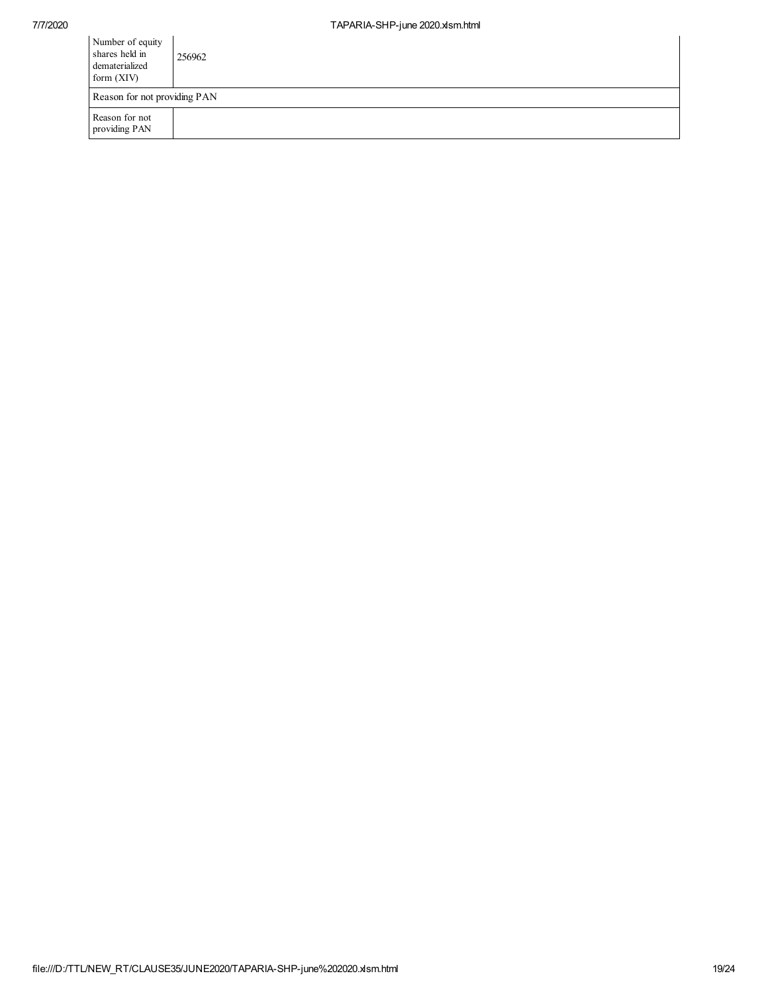| Number of equity<br>shares held in<br>dematerialized<br>form $(XIV)$ | 256962 |
|----------------------------------------------------------------------|--------|
| Reason for not providing PAN                                         |        |
| Reason for not<br>providing PAN                                      |        |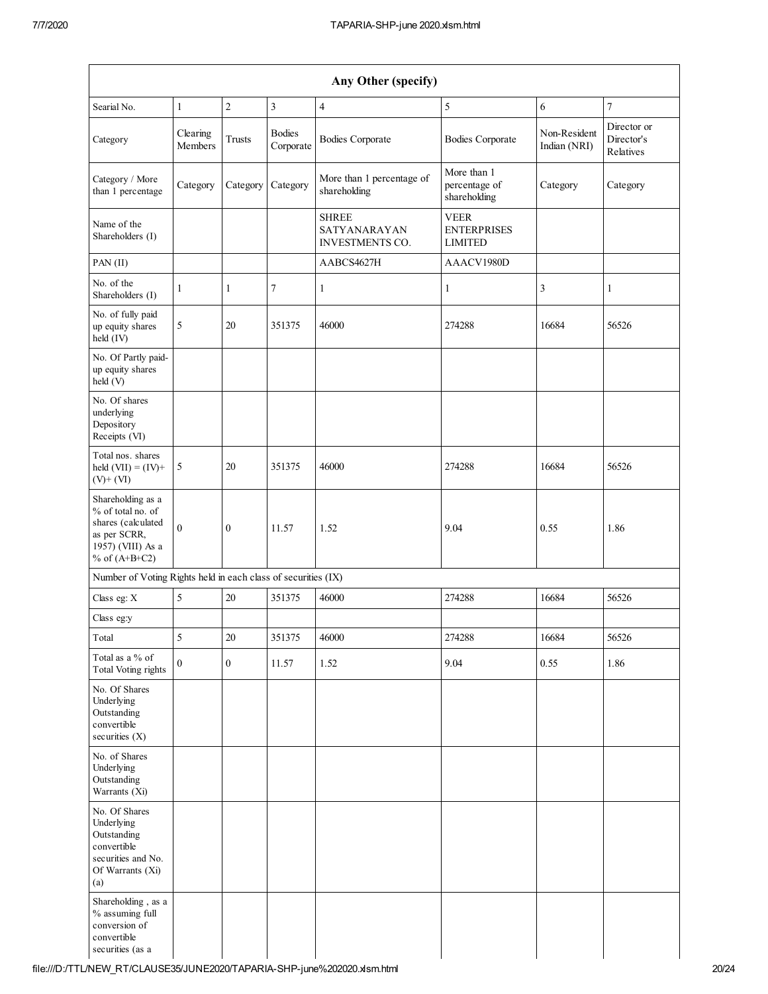| Any Other (specify)                                                                                                  |                     |                |                            |                                                        |                                                     |                              |                                        |
|----------------------------------------------------------------------------------------------------------------------|---------------------|----------------|----------------------------|--------------------------------------------------------|-----------------------------------------------------|------------------------------|----------------------------------------|
| Searial No.                                                                                                          | $\mathbf{1}$        | $\overline{2}$ | $\overline{\mathbf{3}}$    | $\overline{4}$                                         | 5                                                   | 6                            | $\tau$                                 |
| Category                                                                                                             | Clearing<br>Members | <b>Trusts</b>  | <b>Bodies</b><br>Corporate | <b>Bodies Corporate</b>                                | <b>Bodies Corporate</b>                             | Non-Resident<br>Indian (NRI) | Director or<br>Director's<br>Relatives |
| Category / More<br>than 1 percentage                                                                                 | Category            | Category       | Category                   | More than 1 percentage of<br>shareholding              | More than 1<br>percentage of<br>shareholding        | Category                     | Category                               |
| Name of the<br>Shareholders (I)                                                                                      |                     |                |                            | <b>SHREE</b><br>SATYANARAYAN<br><b>INVESTMENTS CO.</b> | <b>VEER</b><br><b>ENTERPRISES</b><br><b>LIMITED</b> |                              |                                        |
| PAN (II)                                                                                                             |                     |                |                            | AABCS4627H                                             | AAACV1980D                                          |                              |                                        |
| No. of the<br>Shareholders (I)                                                                                       | $\mathbf{1}$        | $\mathbf{1}$   | $\overline{7}$             | $\mathbf{1}$                                           | $\mathbf{1}$                                        | $\mathfrak{Z}$               | 1                                      |
| No. of fully paid<br>up equity shares<br>held (IV)                                                                   | 5                   | 20             | 351375                     | 46000                                                  | 274288                                              | 16684                        | 56526                                  |
| No. Of Partly paid-<br>up equity shares<br>held (V)                                                                  |                     |                |                            |                                                        |                                                     |                              |                                        |
| No. Of shares<br>underlying<br>Depository<br>Receipts (VI)                                                           |                     |                |                            |                                                        |                                                     |                              |                                        |
| Total nos. shares<br>held $(VII) = (IV) +$<br>$(V)$ + $(VI)$                                                         | $\mathfrak s$       | 20             | 351375                     | 46000                                                  | 274288                                              | 16684                        | 56526                                  |
| Shareholding as a<br>% of total no. of<br>shares (calculated<br>as per SCRR,<br>1957) (VIII) As a<br>% of $(A+B+C2)$ | $\theta$            | $\mathbf{0}$   | 11.57                      | 1.52                                                   | 9.04                                                | 0.55                         | 1.86                                   |
| Number of Voting Rights held in each class of securities (IX)                                                        |                     |                |                            |                                                        |                                                     |                              |                                        |
| Class eg: $X$                                                                                                        | 5                   | 20             | 351375                     | 46000                                                  | 274288                                              | 16684                        | 56526                                  |
| Class eg:y                                                                                                           |                     |                |                            |                                                        |                                                     |                              |                                        |
| Total                                                                                                                | 5                   | $20\,$         | 351375                     | 46000                                                  | 274288                                              | 16684                        | 56526                                  |
| Total as a % of<br><b>Total Voting rights</b>                                                                        | $\boldsymbol{0}$    | $\mathbf{0}$   | 11.57                      | 1.52                                                   | 9.04                                                | 0.55                         | 1.86                                   |
| No. Of Shares<br>Underlying<br>Outstanding<br>convertible<br>securities (X)                                          |                     |                |                            |                                                        |                                                     |                              |                                        |
| No. of Shares<br>Underlying<br>Outstanding<br>Warrants (Xi)                                                          |                     |                |                            |                                                        |                                                     |                              |                                        |
| No. Of Shares<br>Underlying<br>Outstanding<br>convertible<br>securities and No.<br>Of Warrants (Xi)<br>(a)           |                     |                |                            |                                                        |                                                     |                              |                                        |
| Shareholding, as a<br>% assuming full<br>conversion of<br>convertible<br>securities (as a                            |                     |                |                            |                                                        |                                                     |                              |                                        |

file:///D:/TTL/NEW\_RT/CLAUSE35/JUNE2020/TAPARIA-SHP-june%202020.xlsm.html 20/24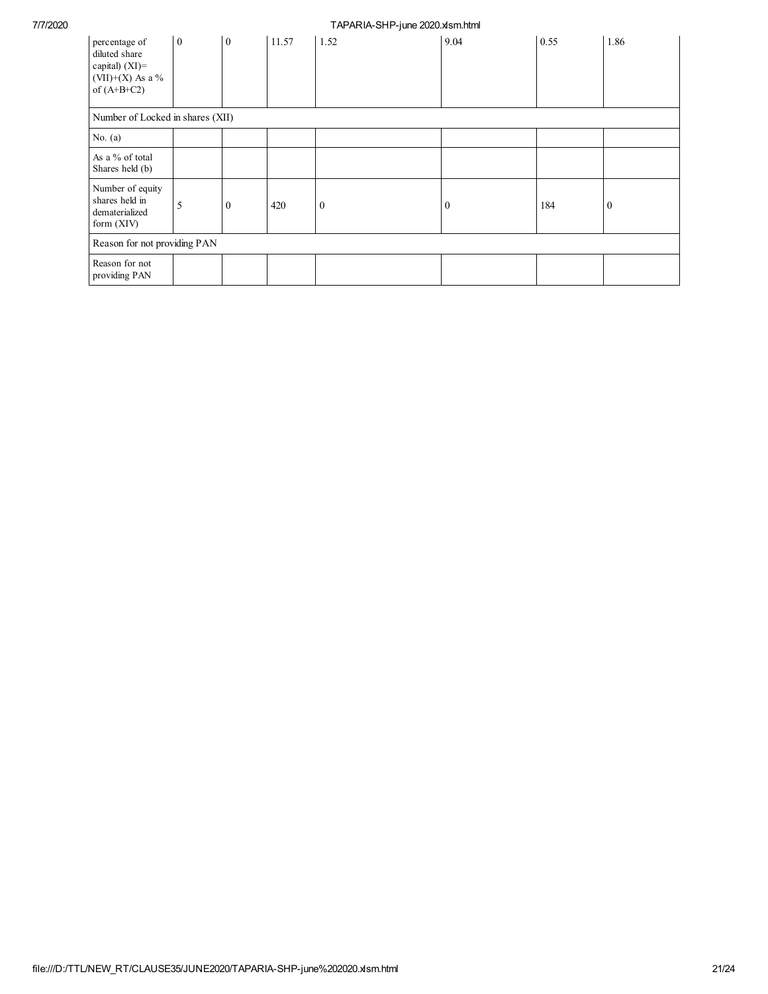## 7/7/2020 TAPARIA-SHP-june 2020.xlsm.html

| percentage of<br>diluted share<br>capital) (XI)=<br>$(VII)+(X)$ As a %<br>of $(A+B+C2)$ | $\overline{0}$ | $\overline{0}$ | 11.57 | 1.52     | 9.04         | 0.55 | 1.86         |
|-----------------------------------------------------------------------------------------|----------------|----------------|-------|----------|--------------|------|--------------|
| Number of Locked in shares (XII)                                                        |                |                |       |          |              |      |              |
| No. $(a)$                                                                               |                |                |       |          |              |      |              |
| As a % of total<br>Shares held (b)                                                      |                |                |       |          |              |      |              |
| Number of equity<br>shares held in<br>dematerialized<br>form $(XIV)$                    | 5              | $\mathbf{0}$   | 420   | $\bf{0}$ | $\mathbf{0}$ | 184  | $\mathbf{0}$ |
| Reason for not providing PAN                                                            |                |                |       |          |              |      |              |
| Reason for not<br>providing PAN                                                         |                |                |       |          |              |      |              |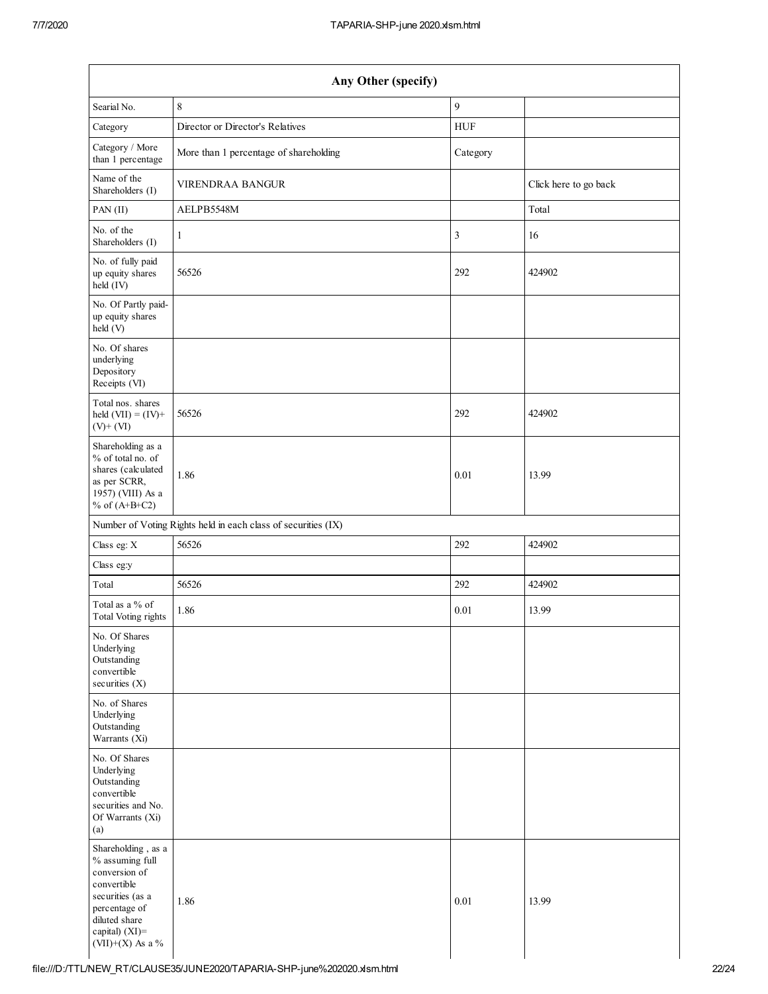| Any Other (specify)                                                                                                                                                 |                                                               |            |                       |  |  |  |  |
|---------------------------------------------------------------------------------------------------------------------------------------------------------------------|---------------------------------------------------------------|------------|-----------------------|--|--|--|--|
| Searial No.                                                                                                                                                         | $\,$ 8 $\,$                                                   | 9          |                       |  |  |  |  |
| Category                                                                                                                                                            | Director or Director's Relatives                              | <b>HUF</b> |                       |  |  |  |  |
| Category / More<br>than 1 percentage                                                                                                                                | More than 1 percentage of shareholding                        | Category   |                       |  |  |  |  |
| Name of the<br>Shareholders (I)                                                                                                                                     | VIRENDRAA BANGUR                                              |            | Click here to go back |  |  |  |  |
| PAN (II)                                                                                                                                                            | AELPB5548M                                                    |            | Total                 |  |  |  |  |
| No. of the<br>Shareholders (I)                                                                                                                                      | $\mathbf{1}$                                                  | 3          | 16                    |  |  |  |  |
| No. of fully paid<br>up equity shares<br>held (IV)                                                                                                                  | 56526                                                         | 292        | 424902                |  |  |  |  |
| No. Of Partly paid-<br>up equity shares<br>held(V)                                                                                                                  |                                                               |            |                       |  |  |  |  |
| No. Of shares<br>underlying<br>Depository<br>Receipts (VI)                                                                                                          |                                                               |            |                       |  |  |  |  |
| Total nos. shares<br>held $(VII) = (IV) +$<br>$(V)$ + $(VI)$                                                                                                        | 56526                                                         | 292        | 424902                |  |  |  |  |
| Shareholding as a<br>% of total no. of<br>shares (calculated<br>as per SCRR,<br>1957) (VIII) As a<br>% of $(A+B+C2)$                                                | 1.86                                                          | 0.01       | 13.99                 |  |  |  |  |
|                                                                                                                                                                     | Number of Voting Rights held in each class of securities (IX) |            |                       |  |  |  |  |
| Class eg: X                                                                                                                                                         | 56526                                                         | 292        | 424902                |  |  |  |  |
| Class eg:y                                                                                                                                                          |                                                               |            |                       |  |  |  |  |
| Total                                                                                                                                                               | 56526                                                         | 292        | 424902                |  |  |  |  |
| Total as a % of<br>Total Voting rights                                                                                                                              | 1.86                                                          | 0.01       | 13.99                 |  |  |  |  |
| No. Of Shares<br>Underlying<br>Outstanding<br>convertible<br>securities (X)                                                                                         |                                                               |            |                       |  |  |  |  |
| No. of Shares<br>Underlying<br>Outstanding<br>Warrants (Xi)                                                                                                         |                                                               |            |                       |  |  |  |  |
| No. Of Shares<br>Underlying<br>Outstanding<br>convertible<br>securities and No.<br>Of Warrants (Xi)<br>(a)                                                          |                                                               |            |                       |  |  |  |  |
| Shareholding, as a<br>% assuming full<br>conversion of<br>convertible<br>securities (as a<br>percentage of<br>diluted share<br>capital) (XI)=<br>$(VII)+(X)$ As a % | 1.86                                                          | 0.01       | 13.99                 |  |  |  |  |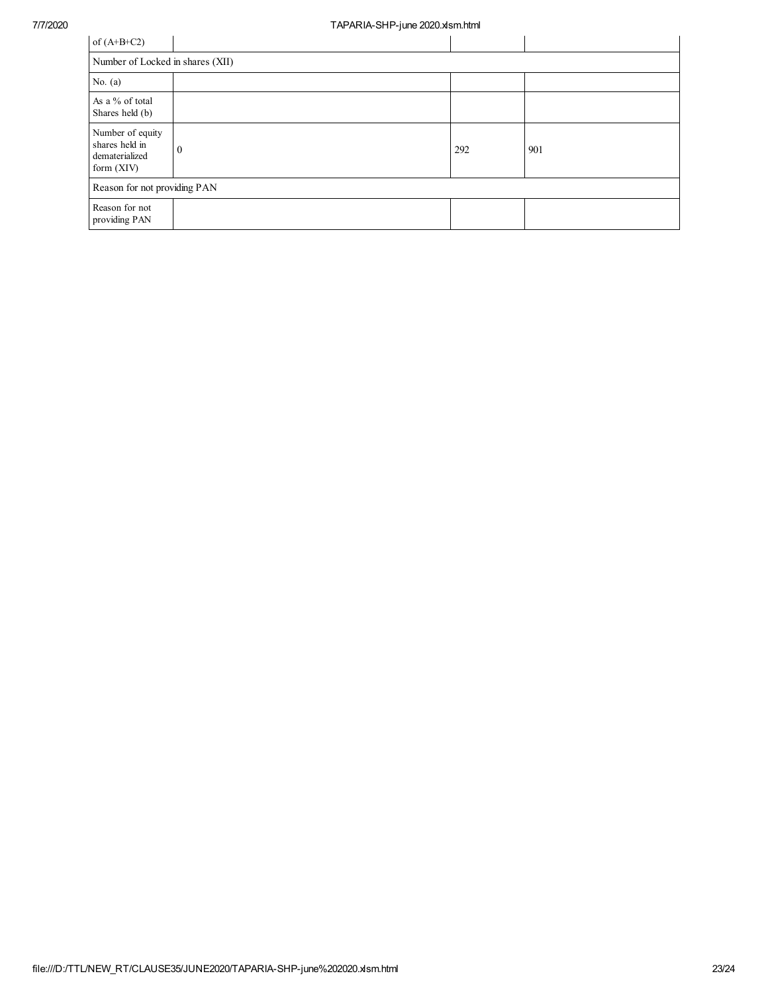| of $(A+B+C2)$                                                        |          |     |     |  |  |  |  |
|----------------------------------------------------------------------|----------|-----|-----|--|--|--|--|
| Number of Locked in shares (XII)                                     |          |     |     |  |  |  |  |
| No. $(a)$                                                            |          |     |     |  |  |  |  |
| As a % of total<br>Shares held (b)                                   |          |     |     |  |  |  |  |
| Number of equity<br>shares held in<br>dematerialized<br>form $(XIV)$ | $\theta$ | 292 | 901 |  |  |  |  |
| Reason for not providing PAN                                         |          |     |     |  |  |  |  |
| Reason for not<br>providing PAN                                      |          |     |     |  |  |  |  |